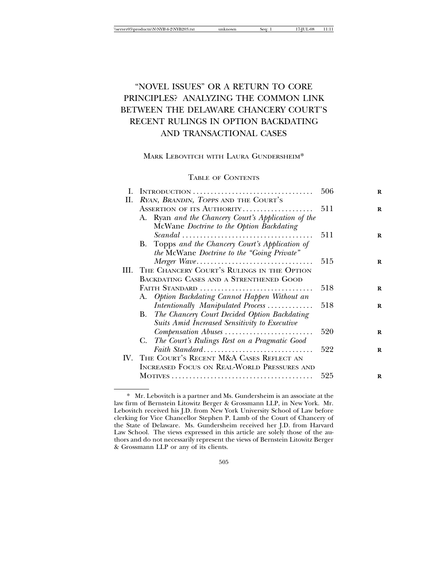# "NOVEL ISSUES" OR A RETURN TO CORE PRINCIPLES? ANALYZING THE COMMON LINK BETWEEN THE DELAWARE CHANCERY COURT'S RECENT RULINGS IN OPTION BACKDATING AND TRANSACTIONAL CASES

# MARK LEBOVITCH WITH LAURA GUNDERSHEIM\*

# TABLE OF CONTENTS

|    |                                                      | 506 | R |
|----|------------------------------------------------------|-----|---|
| П. | RYAN, BRANDIN, TOPPS AND THE COURT'S                 |     |   |
|    | ASSERTION OF ITS AUTHORITY                           | 511 | R |
|    | A. Ryan and the Chancery Court's Application of the  |     |   |
|    | McWane Doctrine to the Option Backdating             |     |   |
|    |                                                      | 511 | R |
|    | B. Topps and the Chancery Court's Application of     |     |   |
|    | the McWane Doctrine to the "Going Private"           |     |   |
|    | Merger Wave                                          | 515 | R |
|    | III. THE CHANCERY COURT'S RULINGS IN THE OPTION      |     |   |
|    | <b>BACKDATING CASES AND A STRENTHENED GOOD</b>       |     |   |
|    | FAITH STANDARD                                       | 518 | R |
|    | A. Option Backdating Cannot Happen Without an        |     |   |
|    | Intentionally Manipulated Process                    | 518 | R |
|    | The Chancery Court Decided Option Backdating<br>В.   |     |   |
|    | <b>Suits Amid Increased Sensitivity to Executive</b> |     |   |
|    | Compensation Abuses                                  | 520 | R |
|    | C. The Court's Rulings Rest on a Pragmatic Good      |     |   |
|    | Faith Standard                                       | 522 | R |
|    | IV. THE COURT'S RECENT M&A CASES REFLECT AN          |     |   |
|    | INCREASED FOCUS ON REAL-WORLD PRESSURES AND          |     |   |
|    |                                                      | 525 | R |
|    |                                                      |     |   |

<sup>\*</sup> Mr. Lebovitch is a partner and Ms. Gundersheim is an associate at the law firm of Bernstein Litowitz Berger & Grossmann LLP, in New York. Mr. Lebovitch received his J.D. from New York University School of Law before clerking for Vice Chancellor Stephen P. Lamb of the Court of Chancery of the State of Delaware. Ms. Gundersheim received her J.D. from Harvard Law School. The views expressed in this article are solely those of the authors and do not necessarily represent the views of Bernstein Litowitz Berger & Grossmann LLP or any of its clients.

<sup>505</sup>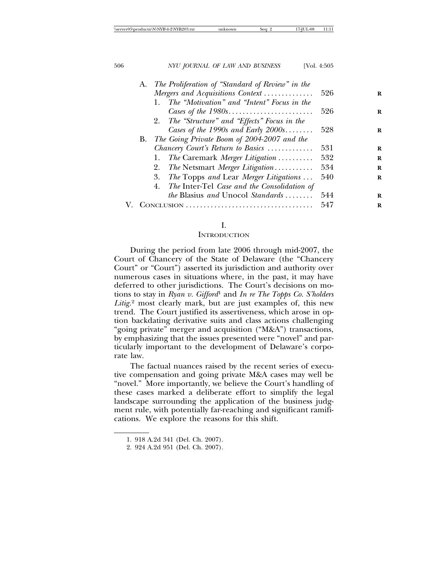| 506 |    | NYU JOURNAL OF LAW AND BUSINESS                   | [Vol. 4:505 |   |
|-----|----|---------------------------------------------------|-------------|---|
|     | A. | The Proliferation of "Standard of Review" in the  |             |   |
|     |    | Mergers and Acquisitions Context                  | 526         | R |
|     |    | The "Motivation" and "Intent" Focus in the<br>1.  |             |   |
|     |    |                                                   | 526         | R |
|     |    | 2. The "Structure" and "Effects" Focus in the     |             |   |
|     |    | Cases of the 1990s and Early $2000s$              | 528         | R |
|     | В. | The Going Private Boom of 2004-2007 and the       |             |   |
|     |    | Chancery Court's Return to Basics                 | 531         | R |
|     |    | The Caremark Merger Litigation<br>1.              | 532         | R |
|     |    | 2.<br>The Netsmart Merger Litigation              | 534         | R |
|     |    | The Topps and Lear Merger Litigations<br>3.       | 540         | R |
|     |    | The Inter-Tel Case and the Consolidation of<br>4. |             |   |
|     |    | <i>the Blasius and Unocol Standards</i>           | 544         | R |
|     |    | CONCLUSION                                        | 547         | R |

# I.

### **INTRODUCTION**

During the period from late 2006 through mid-2007, the Court of Chancery of the State of Delaware (the "Chancery Court" or "Court") asserted its jurisdiction and authority over numerous cases in situations where, in the past, it may have deferred to other jurisdictions. The Court's decisions on motions to stay in *Ryan v. Gifford*1 and *In re The Topps Co. S'holders Litig.*2 most clearly mark, but are just examples of, this new trend. The Court justified its assertiveness, which arose in option backdating derivative suits and class actions challenging "going private" merger and acquisition ("M&A") transactions, by emphasizing that the issues presented were "novel" and particularly important to the development of Delaware's corporate law.

The factual nuances raised by the recent series of executive compensation and going private M&A cases may well be "novel." More importantly, we believe the Court's handling of these cases marked a deliberate effort to simplify the legal landscape surrounding the application of the business judgment rule, with potentially far-reaching and significant ramifications. We explore the reasons for this shift.

<sup>1. 918</sup> A.2d 341 (Del. Ch. 2007).

<sup>2. 924</sup> A.2d 951 (Del. Ch. 2007).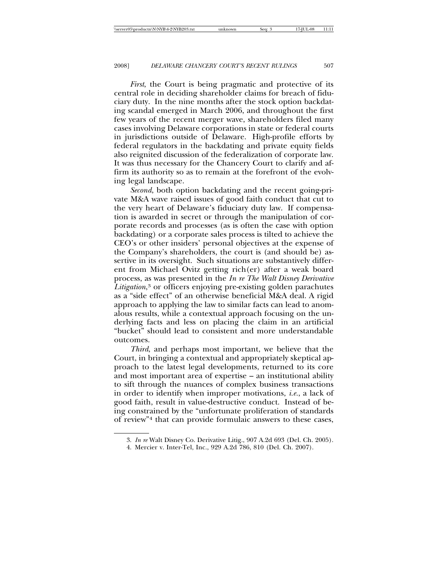*First*, the Court is being pragmatic and protective of its central role in deciding shareholder claims for breach of fiduciary duty. In the nine months after the stock option backdating scandal emerged in March 2006, and throughout the first few years of the recent merger wave, shareholders filed many cases involving Delaware corporations in state or federal courts in jurisdictions outside of Delaware. High-profile efforts by federal regulators in the backdating and private equity fields also reignited discussion of the federalization of corporate law. It was thus necessary for the Chancery Court to clarify and affirm its authority so as to remain at the forefront of the evolving legal landscape.

*Second*, both option backdating and the recent going-private M&A wave raised issues of good faith conduct that cut to the very heart of Delaware's fiduciary duty law. If compensation is awarded in secret or through the manipulation of corporate records and processes (as is often the case with option backdating) or a corporate sales process is tilted to achieve the CEO's or other insiders' personal objectives at the expense of the Company's shareholders, the court is (and should be) assertive in its oversight. Such situations are substantively different from Michael Ovitz getting rich(er) after a weak board process, as was presented in the *In re The Walt Disney Derivative Litigation*, <sup>3</sup> or officers enjoying pre-existing golden parachutes as a "side effect" of an otherwise beneficial M&A deal. A rigid approach to applying the law to similar facts can lead to anomalous results, while a contextual approach focusing on the underlying facts and less on placing the claim in an artificial "bucket" should lead to consistent and more understandable outcomes.

*Third*, and perhaps most important, we believe that the Court, in bringing a contextual and appropriately skeptical approach to the latest legal developments, returned to its core and most important area of expertise – an institutional ability to sift through the nuances of complex business transactions in order to identify when improper motivations, *i.e.*, a lack of good faith, result in value-destructive conduct. Instead of being constrained by the "unfortunate proliferation of standards of review"4 that can provide formulaic answers to these cases,

<sup>3.</sup> *In re* Walt Disney Co. Derivative Litig., 907 A.2d 693 (Del. Ch. 2005).

<sup>4.</sup> Mercier v. Inter-Tel, Inc., 929 A.2d 786, 810 (Del. Ch. 2007).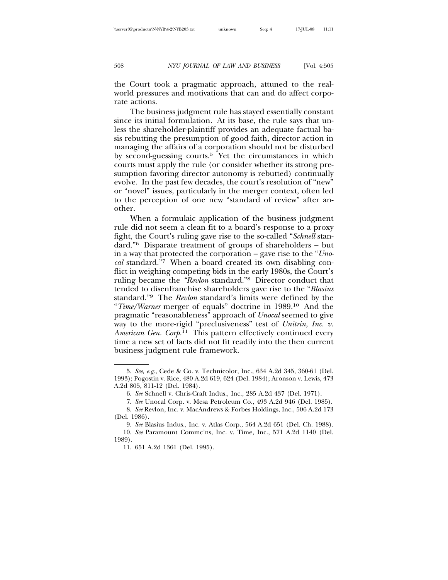the Court took a pragmatic approach, attuned to the realworld pressures and motivations that can and do affect corporate actions.

The business judgment rule has stayed essentially constant since its initial formulation. At its base, the rule says that unless the shareholder-plaintiff provides an adequate factual basis rebutting the presumption of good faith, director action in managing the affairs of a corporation should not be disturbed by second-guessing courts.5 Yet the circumstances in which courts must apply the rule (or consider whether its strong presumption favoring director autonomy is rebutted) continually evolve. In the past few decades, the court's resolution of "new" or "novel" issues, particularly in the merger context, often led to the perception of one new "standard of review" after another.

When a formulaic application of the business judgment rule did not seem a clean fit to a board's response to a proxy fight, the Court's ruling gave rise to the so-called "*Schnell* standard."6 Disparate treatment of groups of shareholders – but in a way that protected the corporation – gave rise to the "*Unocal* standard."7 When a board created its own disabling conflict in weighing competing bids in the early 1980s, the Court's ruling became the *"Revlon* standard."8 Director conduct that tended to disenfranchise shareholders gave rise to the "*Blasius* standard."9 The *Revlon* standard's limits were defined by the "*Time/Warner* merger of equals" doctrine in 1989.10 And the pragmatic "reasonableness" approach of *Unocal* seemed to give way to the more-rigid "preclusiveness" test of *Unitrin, Inc. v. American Gen. Corp.*11 This pattern effectively continued every time a new set of facts did not fit readily into the then current business judgment rule framework.

<sup>5.</sup> *See, e.g.*, Cede & Co. v. Technicolor, Inc., 634 A.2d 345, 360-61 (Del. 1993); Pogostin v. Rice, 480 A.2d 619, 624 (Del. 1984); Aronson v. Lewis, 473 A.2d 805, 811-12 (Del. 1984).

<sup>6.</sup> *See* Schnell v. Chris-Craft Indus., Inc., 285 A.2d 437 (Del. 1971).

<sup>7.</sup> *See* Unocal Corp. v. Mesa Petroleum Co., 493 A.2d 946 (Del. 1985).

<sup>8.</sup> *See* Revlon, Inc. v. MacAndrews & Forbes Holdings, Inc., 506 A.2d 173 (Del. 1986).

<sup>9.</sup> *See* Blasius Indus., Inc. v. Atlas Corp., 564 A.2d 651 (Del. Ch. 1988).

<sup>10.</sup> *See* Paramount Commc'ns, Inc. v. Time, Inc., 571 A.2d 1140 (Del. 1989).

<sup>11. 651</sup> A.2d 1361 (Del. 1995).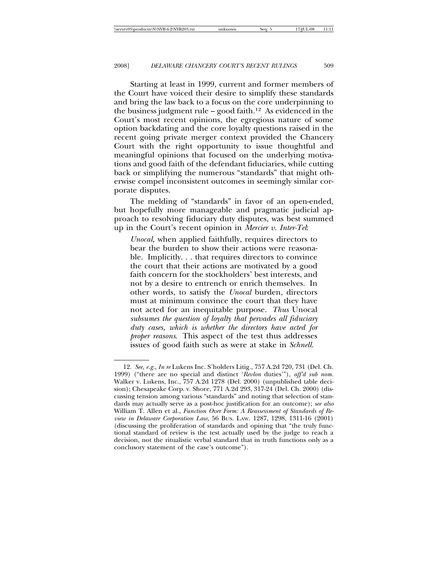Starting at least in 1999, current and former members of the Court have voiced their desire to simplify these standards and bring the law back to a focus on the core underpinning to the business judgment rule – good faith.<sup>12</sup> As evidenced in the Court's most recent opinions, the egregious nature of some option backdating and the core loyalty questions raised in the recent going private merger context provided the Chancery Court with the right opportunity to issue thoughtful and meaningful opinions that focused on the underlying motivations and good faith of the defendant fiduciaries, while cutting back or simplifying the numerous "standards" that might otherwise compel inconsistent outcomes in seemingly similar corporate disputes.

The melding of "standards" in favor of an open-ended, but hopefully more manageable and pragmatic judicial approach to resolving fiduciary duty disputes, was best summed up in the Court's recent opinion in *Mercier v. Inter-Tel*:

*Unocal,* when applied faithfully, requires directors to bear the burden to show their actions were reasonable. Implicitly. . . that requires directors to convince the court that their actions are motivated by a good faith concern for the stockholders' best interests, and not by a desire to entrench or enrich themselves. In other words, to satisfy the *Unocal* burden, directors must at minimum convince the court that they have not acted for an inequitable purpose. *Thus* Unocal *subsumes the question of loyalty that pervades all fiduciary duty cases, which is whether the directors have acted for proper reasons*. This aspect of the test thus addresses issues of good faith such as were at stake in *Schnell.*

<sup>12.</sup> *See, e.g.*, *In re* Lukens Inc. S'holders Litig., 757 A.2d 720, 731 (Del. Ch. 1999) ("there are no special and distinct '*Revlon* duties'"), *aff'd sub nom.* Walker v. Lukens, Inc., 757 A.2d 1278 (Del. 2000) (unpublished table decision); Chesapeake Corp. v. Shore, 771 A.2d 293, 317-24 (Del. Ch. 2000) (discussing tension among various "standards" and noting that selection of standards may actually serve as a post-hoc justification for an outcome); *see also* William T. Allen et al., *Function Over Form: A Reassessment of Standards of Review in Delaware Corporation Law*, 56 BUS. LAW. 1287, 1298, 1311-16 (2001) (discussing the proliferation of standards and opining that "the truly functional standard of review is the test actually used by the judge to reach a decision, not the ritualistic verbal standard that in truth functions only as a conclusory statement of the case's outcome").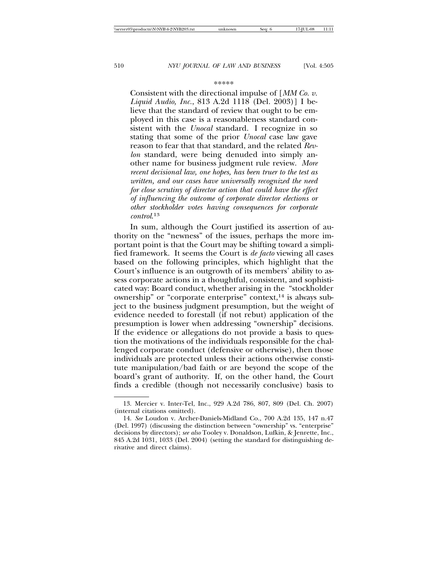#### \*\*\*\*\*

Consistent with the directional impulse of [*MM Co. v. Liquid Audio, Inc.*, 813 A.2d 1118 (Del. 2003)] I believe that the standard of review that ought to be employed in this case is a reasonableness standard consistent with the *Unocal* standard. I recognize in so stating that some of the prior *Unocal* case law gave reason to fear that that standard, and the related *Revlon* standard, were being denuded into simply another name for business judgment rule review. *More recent decisional law, one hopes, has been truer to the test as written, and our cases have universally recognized the need for close scrutiny of director action that could have the effect of influencing the outcome of corporate director elections or other stockholder votes having consequences for corporate control*. 13

In sum, although the Court justified its assertion of authority on the "newness" of the issues, perhaps the more important point is that the Court may be shifting toward a simplified framework. It seems the Court is *de facto* viewing all cases based on the following principles, which highlight that the Court's influence is an outgrowth of its members' ability to assess corporate actions in a thoughtful, consistent, and sophisticated way: Board conduct, whether arising in the "stockholder ownership" or "corporate enterprise" context,<sup>14</sup> is always subject to the business judgment presumption, but the weight of evidence needed to forestall (if not rebut) application of the presumption is lower when addressing "ownership" decisions. If the evidence or allegations do not provide a basis to question the motivations of the individuals responsible for the challenged corporate conduct (defensive or otherwise), then those individuals are protected unless their actions otherwise constitute manipulation/bad faith or are beyond the scope of the board's grant of authority. If, on the other hand, the Court finds a credible (though not necessarily conclusive) basis to

<sup>13.</sup> Mercier v. Inter-Tel, Inc., 929 A.2d 786, 807, 809 (Del. Ch. 2007) (internal citations omitted).

<sup>14.</sup> *See* Loudon v. Archer-Daniels-Midland Co., 700 A.2d 135, 147 n.47 (Del. 1997) (discussing the distinction between "ownership" vs. "enterprise" decisions by directors); *see also* Tooley v. Donaldson, Lufkin, & Jenrette, Inc., 845 A.2d 1031, 1033 (Del. 2004) (setting the standard for distinguishing derivative and direct claims).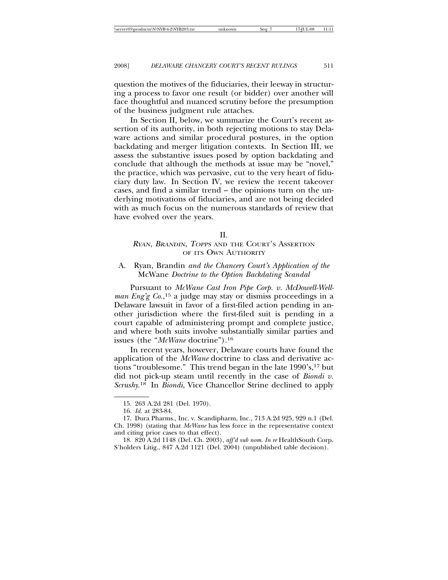question the motives of the fiduciaries, their leeway in structuring a process to favor one result (or bidder) over another will face thoughtful and nuanced scrutiny before the presumption of the business judgment rule attaches.

In Section II, below, we summarize the Court's recent assertion of its authority, in both rejecting motions to stay Delaware actions and similar procedural postures, in the option backdating and merger litigation contexts. In Section III, we assess the substantive issues posed by option backdating and conclude that although the methods at issue may be "novel," the practice, which was pervasive, cut to the very heart of fiduciary duty law. In Section IV, we review the recent takeover cases, and find a similar trend – the opinions turn on the underlying motivations of fiduciaries, and are not being decided with as much focus on the numerous standards of review that have evolved over the years.

### II.

# RYAN, BRANDIN, TOPPS AND THE COURT'S ASSERTION OF ITS OWN AUTHORITY

# A. Ryan*,* Brandin *and the Chancery Court's Application of the* McWane *Doctrine to the Option Backdating Scandal*

Pursuant to *McWane Cast Iron Pipe Corp. v. McDowell-Wellman Eng'g Co.*, 15 a judge may stay or dismiss proceedings in a Delaware lawsuit in favor of a first-filed action pending in another jurisdiction where the first-filed suit is pending in a court capable of administering prompt and complete justice, and where both suits involve substantially similar parties and issues (the "*McWane* doctrine")*.*<sup>16</sup>

In recent years, however, Delaware courts have found the application of the *McWane* doctrine to class and derivative actions "troublesome." This trend began in the late 1990's,<sup>17</sup> but did not pick-up steam until recently in the case of *Biondi v. Scrushy*. 18 In *Biondi*, Vice Chancellor Strine declined to apply

<sup>15. 263</sup> A.2d 281 (Del. 1970).

<sup>16.</sup> *Id.* at 283-84.

<sup>17.</sup> Dura Pharms., Inc. v. Scandipharm, Inc., 713 A.2d 925, 929 n.1 (Del. Ch. 1998) (stating that *McWane* has less force in the representative context and citing prior cases to that effect).

<sup>18. 820</sup> A.2d 1148 (Del. Ch. 2003), *aff'd sub nom. In re* HealthSouth Corp. S'holders Litig., 847 A.2d 1121 (Del. 2004) (unpublished table decision).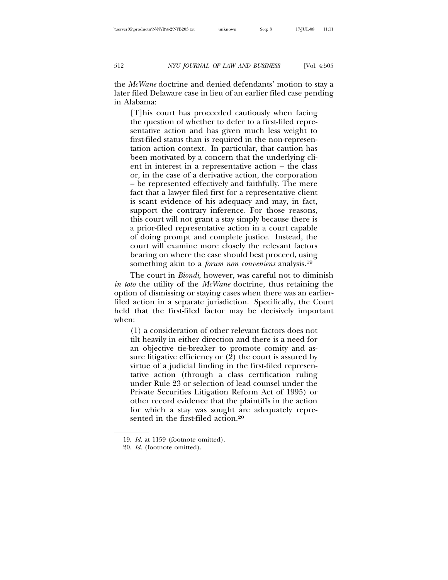the *McWane* doctrine and denied defendants' motion to stay a later filed Delaware case in lieu of an earlier filed case pending in Alabama:

[T]his court has proceeded cautiously when facing the question of whether to defer to a first-filed representative action and has given much less weight to first-filed status than is required in the non-representation action context. In particular, that caution has been motivated by a concern that the underlying client in interest in a representative action – the class or, in the case of a derivative action, the corporation – be represented effectively and faithfully. The mere fact that a lawyer filed first for a representative client is scant evidence of his adequacy and may, in fact, support the contrary inference. For those reasons, this court will not grant a stay simply because there is a prior-filed representative action in a court capable of doing prompt and complete justice. Instead, the court will examine more closely the relevant factors bearing on where the case should best proceed, using something akin to a *forum non conveniens* analysis.19

The court in *Biondi*, however, was careful not to diminish *in toto* the utility of the *McWane* doctrine, thus retaining the option of dismissing or staying cases when there was an earlierfiled action in a separate jurisdiction. Specifically, the Court held that the first-filed factor may be decisively important when:

(1) a consideration of other relevant factors does not tilt heavily in either direction and there is a need for an objective tie-breaker to promote comity and assure litigative efficiency or (2) the court is assured by virtue of a judicial finding in the first-filed representative action (through a class certification ruling under Rule 23 or selection of lead counsel under the Private Securities Litigation Reform Act of 1995) or other record evidence that the plaintiffs in the action for which a stay was sought are adequately represented in the first-filed action.20

<sup>19.</sup> *Id.* at 1159 (footnote omitted).

<sup>20.</sup> *Id.* (footnote omitted).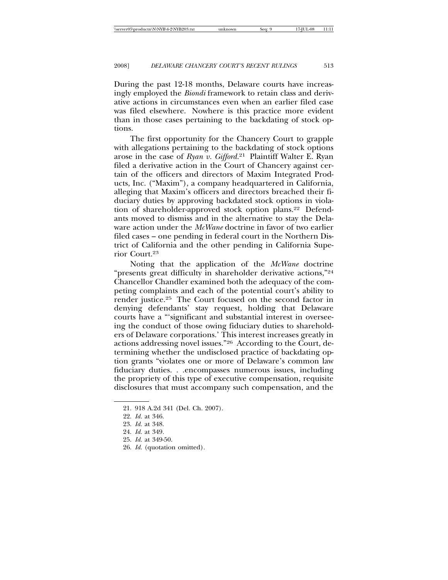During the past 12-18 months, Delaware courts have increasingly employed the *Biondi* framework to retain class and derivative actions in circumstances even when an earlier filed case was filed elsewhere. Nowhere is this practice more evident than in those cases pertaining to the backdating of stock options.

The first opportunity for the Chancery Court to grapple with allegations pertaining to the backdating of stock options arose in the case of *Ryan v. Gifford.*21 Plaintiff Walter E. Ryan filed a derivative action in the Court of Chancery against certain of the officers and directors of Maxim Integrated Products, Inc. ("Maxim"), a company headquartered in California, alleging that Maxim's officers and directors breached their fiduciary duties by approving backdated stock options in violation of shareholder-approved stock option plans.22 Defendants moved to dismiss and in the alternative to stay the Delaware action under the *McWane* doctrine in favor of two earlier filed cases – one pending in federal court in the Northern District of California and the other pending in California Superior Court.23

Noting that the application of the *McWane* doctrine "presents great difficulty in shareholder derivative actions,"24 Chancellor Chandler examined both the adequacy of the competing complaints and each of the potential court's ability to render justice.25 The Court focused on the second factor in denying defendants' stay request, holding that Delaware courts have a "'significant and substantial interest in overseeing the conduct of those owing fiduciary duties to shareholders of Delaware corporations.' This interest increases greatly in actions addressing novel issues."26 According to the Court, determining whether the undisclosed practice of backdating option grants "violates one or more of Delaware's common law fiduciary duties. . .encompasses numerous issues, including the propriety of this type of executive compensation, requisite disclosures that must accompany such compensation, and the

<sup>21. 918</sup> A.2d 341 (Del. Ch. 2007).

<sup>22.</sup> *Id.* at 346.

<sup>23.</sup> *Id.* at 348.

<sup>24.</sup> *Id.* at 349*.*

<sup>25.</sup> *Id.* at 349-50.

<sup>26.</sup> *Id.* (quotation omitted)*.*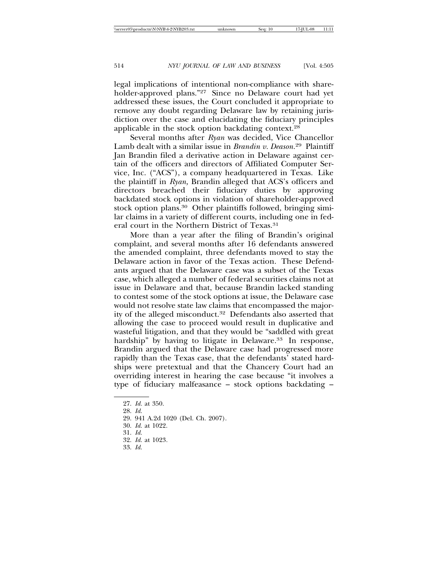legal implications of intentional non-compliance with shareholder-approved plans."27 Since no Delaware court had yet addressed these issues, the Court concluded it appropriate to remove any doubt regarding Delaware law by retaining jurisdiction over the case and elucidating the fiduciary principles applicable in the stock option backdating context.28

Several months after *Ryan* was decided, Vice Chancellor Lamb dealt with a similar issue in *Brandin v. Deason.*29 Plaintiff Jan Brandin filed a derivative action in Delaware against certain of the officers and directors of Affiliated Computer Service, Inc. ("ACS"), a company headquartered in Texas. Like the plaintiff in *Ryan,* Brandin alleged that ACS's officers and directors breached their fiduciary duties by approving backdated stock options in violation of shareholder-approved stock option plans.<sup>30</sup> Other plaintiffs followed, bringing similar claims in a variety of different courts, including one in federal court in the Northern District of Texas.31

More than a year after the filing of Brandin's original complaint, and several months after 16 defendants answered the amended complaint, three defendants moved to stay the Delaware action in favor of the Texas action. These Defendants argued that the Delaware case was a subset of the Texas case, which alleged a number of federal securities claims not at issue in Delaware and that, because Brandin lacked standing to contest some of the stock options at issue, the Delaware case would not resolve state law claims that encompassed the majority of the alleged misconduct.<sup>32</sup> Defendants also asserted that allowing the case to proceed would result in duplicative and wasteful litigation, and that they would be "saddled with great hardship" by having to litigate in Delaware.<sup>33</sup> In response, Brandin argued that the Delaware case had progressed more rapidly than the Texas case, that the defendants' stated hardships were pretextual and that the Chancery Court had an overriding interest in hearing the case because "it involves a type of fiduciary malfeasance – stock options backdating –

- 29. 941 A.2d 1020 (Del. Ch. 2007).
- 30. *Id.* at 1022.
- 31. *Id.*
- 32. *Id.* at 1023*.*
- 33. *Id.*

<sup>27.</sup> *Id.* at 350.

<sup>28.</sup> *Id.*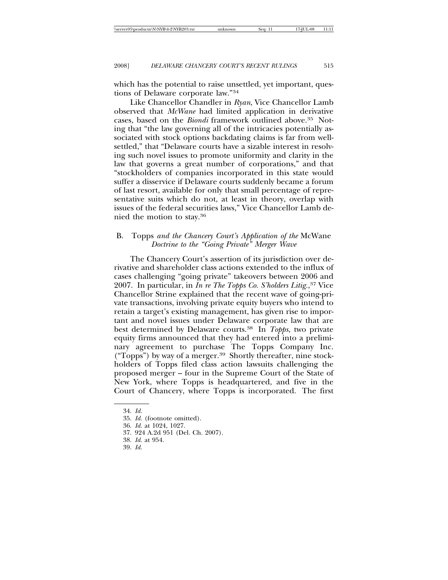which has the potential to raise unsettled, yet important, questions of Delaware corporate law."34

Like Chancellor Chandler in *Ryan*, Vice Chancellor Lamb observed that *McWane* had limited application in derivative cases, based on the *Biondi* framework outlined above.<sup>35</sup> Noting that "the law governing all of the intricacies potentially associated with stock options backdating claims is far from wellsettled," that "Delaware courts have a sizable interest in resolving such novel issues to promote uniformity and clarity in the law that governs a great number of corporations," and that "stockholders of companies incorporated in this state would suffer a disservice if Delaware courts suddenly became a forum of last resort, available for only that small percentage of representative suits which do not, at least in theory, overlap with issues of the federal securities laws," Vice Chancellor Lamb denied the motion to stay.36

# B. Topps *and the Chancery Court's Application of the* McWane *Doctrine to the "Going Private" Merger Wave*

The Chancery Court's assertion of its jurisdiction over derivative and shareholder class actions extended to the influx of cases challenging "going private" takeovers between 2006 and 2007. In particular, in *In re The Topps Co. S'holders Litig.*, 37 Vice Chancellor Strine explained that the recent wave of going-private transactions, involving private equity buyers who intend to retain a target's existing management, has given rise to important and novel issues under Delaware corporate law that are best determined by Delaware courts.38 In *Topps*, two private equity firms announced that they had entered into a preliminary agreement to purchase The Topps Company Inc. ("Topps") by way of a merger.39 Shortly thereafter, nine stockholders of Topps filed class action lawsuits challenging the proposed merger – four in the Supreme Court of the State of New York, where Topps is headquartered, and five in the Court of Chancery, where Topps is incorporated. The first

- 38. *Id.* at 954*.*
- 39. *Id.*

<sup>34.</sup> *Id.*

<sup>35.</sup> *Id.* (footnote omitted).

<sup>36.</sup> *Id.* at 1024, 1027*.*

<sup>37. 924</sup> A.2d 951 (Del. Ch. 2007).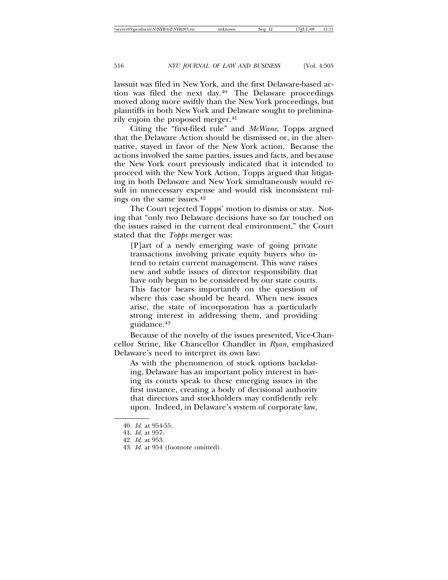lawsuit was filed in New York, and the first Delaware-based action was filed the next day.40 The Delaware proceedings moved along more swiftly than the New York proceedings, but plaintiffs in both New York and Delaware sought to preliminarily enjoin the proposed merger.<sup>41</sup>

Citing the "first-filed rule" and *McWane*, Topps argued that the Delaware Action should be dismissed or, in the alternative, stayed in favor of the New York action. Because the actions involved the same parties, issues and facts, and because the New York court previously indicated that it intended to proceed with the New York Action, Topps argued that litigating in both Delaware and New York simultaneously would result in unnecessary expense and would risk inconsistent rulings on the same issues.42

The Court rejected Topps' motion to dismiss or stay. Noting that "only two Delaware decisions have so far touched on the issues raised in the current deal environment," the Court stated that the *Topps* merger was:

[P]art of a newly emerging wave of going private transactions involving private equity buyers who intend to retain current management. This wave raises new and subtle issues of director responsibility that have only begun to be considered by our state courts. This factor bears importantly on the question of where this case should be heard. When new issues arise, the state of incorporation has a particularly strong interest in addressing them, and providing guidance.43

Because of the novelty of the issues presented, Vice-Chancellor Strine, like Chancellor Chandler in *Ryan*, emphasized Delaware's need to interpret its own law:

As with the phenomenon of stock options backdating, Delaware has an important policy interest in having its courts speak to these emerging issues in the first instance, creating a body of decisional authority that directors and stockholders may confidently rely upon. Indeed, in Delaware's system of corporate law,

<sup>40.</sup> *Id.* at 954-55.

<sup>41.</sup> *Id.* at 957*.*

<sup>42.</sup> *Id.* at 953.

<sup>43.</sup> *Id.* at 954 (footnote omitted)*.*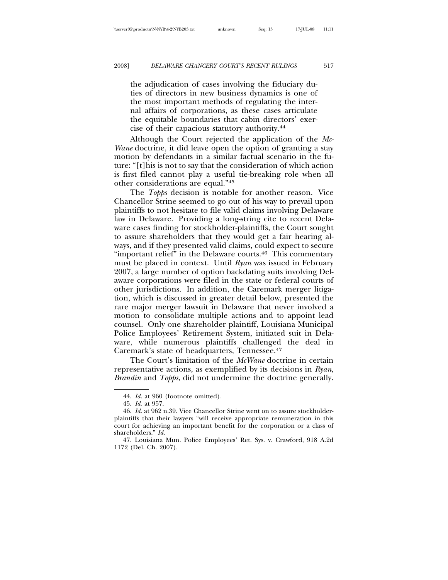the adjudication of cases involving the fiduciary duties of directors in new business dynamics is one of the most important methods of regulating the internal affairs of corporations, as these cases articulate the equitable boundaries that cabin directors' exercise of their capacious statutory authority.44

Although the Court rejected the application of the *Mc-Wane* doctrine, it did leave open the option of granting a stay motion by defendants in a similar factual scenario in the future: "[t]his is not to say that the consideration of which action is first filed cannot play a useful tie-breaking role when all other considerations are equal."45

The *Topps* decision is notable for another reason. Vice Chancellor Strine seemed to go out of his way to prevail upon plaintiffs to not hesitate to file valid claims involving Delaware law in Delaware. Providing a long-string cite to recent Delaware cases finding for stockholder-plaintiffs, the Court sought to assure shareholders that they would get a fair hearing always, and if they presented valid claims, could expect to secure "important relief" in the Delaware courts.<sup>46</sup> This commentary must be placed in context. Until *Ryan* was issued in February 2007, a large number of option backdating suits involving Delaware corporations were filed in the state or federal courts of other jurisdictions. In addition, the Caremark merger litigation, which is discussed in greater detail below, presented the rare major merger lawsuit in Delaware that never involved a motion to consolidate multiple actions and to appoint lead counsel. Only one shareholder plaintiff, Louisiana Municipal Police Employees' Retirement System, initiated suit in Delaware, while numerous plaintiffs challenged the deal in Caremark's state of headquarters, Tennessee.47

The Court's limitation of the *McWane* doctrine in certain representative actions, as exemplified by its decisions in *Ryan*, *Brandin* and *Topps*, did not undermine the doctrine generally.

<sup>44.</sup> *Id.* at 960 (footnote omitted)*.*

<sup>45.</sup> *Id*. at 957.

<sup>46.</sup> *Id.* at 962 n.39. Vice Chancellor Strine went on to assure stockholderplaintiffs that their lawyers "will receive appropriate remuneration in this court for achieving an important benefit for the corporation or a class of shareholders." *Id.*

<sup>47.</sup> Louisiana Mun. Police Employees' Ret. Sys. v. Crawford, 918 A.2d 1172 (Del. Ch. 2007).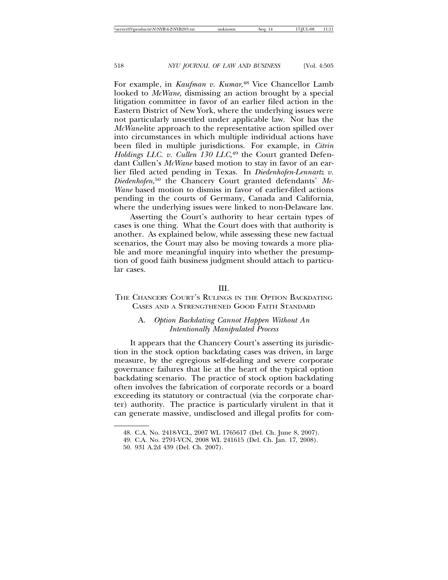For example, in *Kaufman v. Kumar*, 48 Vice Chancellor Lamb looked to *McWane,* dismissing an action brought by a special litigation committee in favor of an earlier filed action in the Eastern District of New York, where the underlying issues were not particularly unsettled under applicable law. Nor has the *McWane-*lite approach to the representative action spilled over into circumstances in which multiple individual actions have been filed in multiple jurisdictions. For example, in *Citrin* Holdings LLC. v. Cullen 130 LLC,<sup>49</sup> the Court granted Defendant Cullen's *McWane* based motion to stay in favor of an earlier filed acted pending in Texas. In *Diedenhofen-Lennartz v. Diedenhofen*, 50 the Chancery Court granted defendants' *Mc-Wane* based motion to dismiss in favor of earlier-filed actions pending in the courts of Germany, Canada and California, where the underlying issues were linked to non-Delaware law.

Asserting the Court's authority to hear certain types of cases is one thing. What the Court does with that authority is another. As explained below, while assessing these new factual scenarios, the Court may also be moving towards a more pliable and more meaningful inquiry into whether the presumption of good faith business judgment should attach to particular cases.

### III.

THE CHANCERY COURT'S RULINGS IN THE OPTION BACKDATING CASES AND A STRENGTHENED GOOD FAITH STANDARD

### A. *Option Backdating Cannot Happen Without An Intentionally Manipulated Process*

It appears that the Chancery Court's asserting its jurisdiction in the stock option backdating cases was driven, in large measure, by the egregious self-dealing and severe corporate governance failures that lie at the heart of the typical option backdating scenario. The practice of stock option backdating often involves the fabrication of corporate records or a board exceeding its statutory or contractual (via the corporate charter) authority. The practice is particularly virulent in that it can generate massive, undisclosed and illegal profits for com-

<sup>48.</sup> C.A. No. 2418-VCL, 2007 WL 1765617 (Del. Ch. June 8, 2007).

<sup>49.</sup> C.A. No. 2791-VCN, 2008 WL 241615 (Del. Ch. Jan. 17, 2008).

<sup>50. 931</sup> A.2d 439 (Del. Ch. 2007).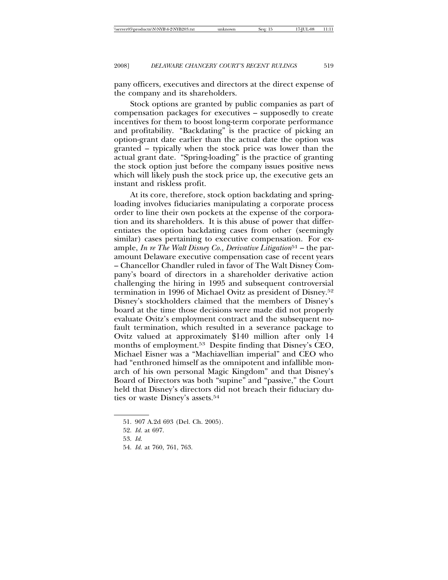pany officers, executives and directors at the direct expense of the company and its shareholders.

Stock options are granted by public companies as part of compensation packages for executives – supposedly to create incentives for them to boost long-term corporate performance and profitability. "Backdating" is the practice of picking an option-grant date earlier than the actual date the option was granted – typically when the stock price was lower than the actual grant date. "Spring-loading" is the practice of granting the stock option just before the company issues positive news which will likely push the stock price up, the executive gets an instant and riskless profit.

At its core, therefore, stock option backdating and springloading involves fiduciaries manipulating a corporate process order to line their own pockets at the expense of the corporation and its shareholders. It is this abuse of power that differentiates the option backdating cases from other (seemingly similar) cases pertaining to executive compensation. For example, *In re The Walt Disney Co., Derivative Litigation*<sup>51</sup> – the paramount Delaware executive compensation case of recent years – Chancellor Chandler ruled in favor of The Walt Disney Company's board of directors in a shareholder derivative action challenging the hiring in 1995 and subsequent controversial termination in 1996 of Michael Ovitz as president of Disney.52 Disney's stockholders claimed that the members of Disney's board at the time those decisions were made did not properly evaluate Ovitz's employment contract and the subsequent nofault termination, which resulted in a severance package to Ovitz valued at approximately \$140 million after only 14 months of employment.<sup>53</sup> Despite finding that Disney's CEO, Michael Eisner was a "Machiavellian imperial" and CEO who had "enthroned himself as the omnipotent and infallible monarch of his own personal Magic Kingdom" and that Disney's Board of Directors was both "supine" and "passive," the Court held that Disney's directors did not breach their fiduciary duties or waste Disney's assets.54

54. *Id.* at 760, 761, 763.

<sup>51. 907</sup> A.2d 693 (Del. Ch. 2005).

<sup>52.</sup> *Id.* at 697.

<sup>53.</sup> *Id.*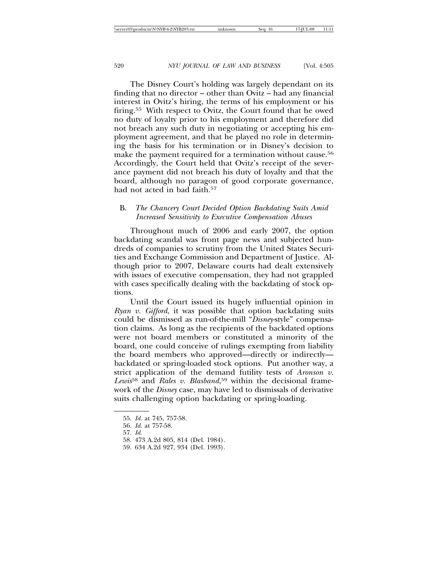The Disney Court's holding was largely dependant on its finding that no director – other than Ovitz – had any financial interest in Ovitz's hiring, the terms of his employment or his firing.55 With respect to Ovitz, the Court found that he owed no duty of loyalty prior to his employment and therefore did not breach any such duty in negotiating or accepting his employment agreement, and that he played no role in determining the basis for his termination or in Disney's decision to make the payment required for a termination without cause.<sup>56</sup> Accordingly, the Court held that Ovitz's receipt of the severance payment did not breach his duty of loyalty and that the board, although no paragon of good corporate governance, had not acted in bad faith.<sup>57</sup>

# B. *The Chancery Court Decided Option Backdating Suits Amid Increased Sensitivity to Executive Compensation Abuses*

Throughout much of 2006 and early 2007, the option backdating scandal was front page news and subjected hundreds of companies to scrutiny from the United States Securities and Exchange Commission and Department of Justice. Although prior to 2007, Delaware courts had dealt extensively with issues of executive compensation, they had not grappled with cases specifically dealing with the backdating of stock options.

Until the Court issued its hugely influential opinion in *Ryan v. Gifford*, it was possible that option backdating suits could be dismissed as run-of-the-mill "*Disney*-style" compensation claims. As long as the recipients of the backdated options were not board members or constituted a minority of the board, one could conceive of rulings exempting from liability the board members who approved—directly or indirectly backdated or spring-loaded stock options. Put another way, a strict application of the demand futility tests of *Aronson v. Lewis*58 and *Rales v. Blasband*, 59 within the decisional framework of the *Disney* case, may have led to dismissals of derivative suits challenging option backdating or spring-loading.

<sup>55.</sup> *Id.* at 745, 757-58.

<sup>56.</sup> *Id.* at 757-58.

<sup>57.</sup> *Id.*

<sup>58. 473</sup> A.2d 805, 814 (Del. 1984).

<sup>59. 634</sup> A.2d 927, 934 (Del. 1993).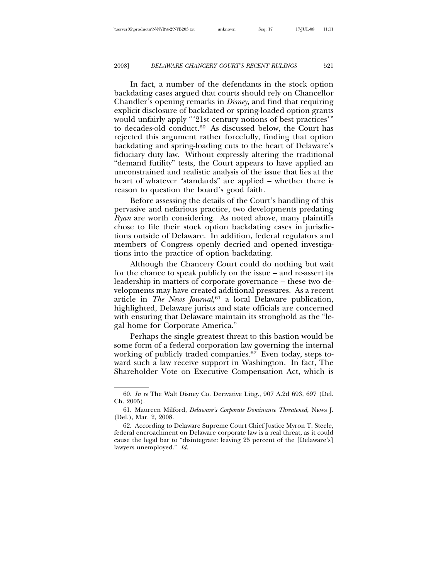In fact, a number of the defendants in the stock option backdating cases argued that courts should rely on Chancellor Chandler's opening remarks in *Disney*, and find that requiring explicit disclosure of backdated or spring-loaded option grants would unfairly apply "'21st century notions of best practices'" to decades-old conduct.60 As discussed below, the Court has rejected this argument rather forcefully, finding that option backdating and spring-loading cuts to the heart of Delaware's fiduciary duty law. Without expressly altering the traditional "demand futility" tests, the Court appears to have applied an unconstrained and realistic analysis of the issue that lies at the heart of whatever "standards" are applied – whether there is reason to question the board's good faith.

Before assessing the details of the Court's handling of this pervasive and nefarious practice, two developments predating *Ryan* are worth considering. As noted above, many plaintiffs chose to file their stock option backdating cases in jurisdictions outside of Delaware. In addition, federal regulators and members of Congress openly decried and opened investigations into the practice of option backdating.

Although the Chancery Court could do nothing but wait for the chance to speak publicly on the issue – and re-assert its leadership in matters of corporate governance – these two developments may have created additional pressures. As a recent article in *The News Journal*, <sup>61</sup> a local Delaware publication, highlighted, Delaware jurists and state officials are concerned with ensuring that Delaware maintain its stronghold as the "legal home for Corporate America."

Perhaps the single greatest threat to this bastion would be some form of a federal corporation law governing the internal working of publicly traded companies.62 Even today, steps toward such a law receive support in Washington. In fact, The Shareholder Vote on Executive Compensation Act, which is

<sup>60.</sup> *In re* The Walt Disney Co. Derivative Litig., 907 A.2d 693, 697 (Del. Ch. 2005).

<sup>61.</sup> Maureen Milford, *Delaware's Corporate Dominance Threatened,* NEWS J. (Del.), Mar. 2, 2008.

<sup>62.</sup> According to Delaware Supreme Court Chief Justice Myron T. Steele, federal encroachment on Delaware corporate law is a real threat, as it could cause the legal bar to "disintegrate: leaving 25 percent of the [Delaware's] lawyers unemployed." *Id.*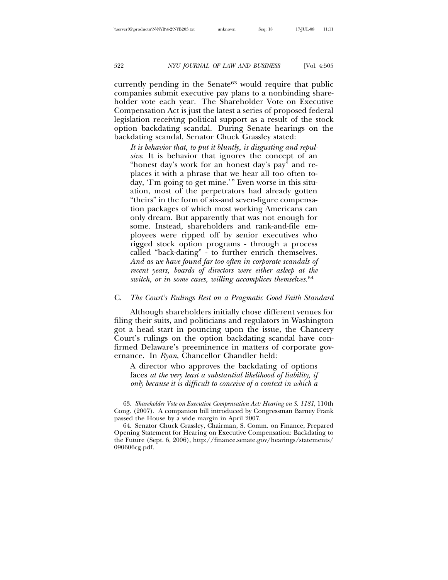currently pending in the Senate<sup>63</sup> would require that public companies submit executive pay plans to a nonbinding shareholder vote each year. The Shareholder Vote on Executive Compensation Act is just the latest a series of proposed federal legislation receiving political support as a result of the stock option backdating scandal. During Senate hearings on the backdating scandal, Senator Chuck Grassley stated:

*It is behavior that, to put it bluntly, is disgusting and repulsive*. It is behavior that ignores the concept of an "honest day's work for an honest day's pay" and replaces it with a phrase that we hear all too often today, 'I'm going to get mine.'" Even worse in this situation, most of the perpetrators had already gotten "theirs" in the form of six-and seven-figure compensation packages of which most working Americans can only dream. But apparently that was not enough for some. Instead, shareholders and rank-and-file employees were ripped off by senior executives who rigged stock option programs - through a process called "back-dating" - to further enrich themselves. *And as we have found far too often in corporate scandals of recent years, boards of directors were either asleep at the switch, or in some cases, willing accomplices themselves*. 64

### C. *The Court's Rulings Rest on a Pragmatic Good Faith Standard*

Although shareholders initially chose different venues for filing their suits, and politicians and regulators in Washington got a head start in pouncing upon the issue, the Chancery Court's rulings on the option backdating scandal have confirmed Delaware's preeminence in matters of corporate governance. In *Ryan*, Chancellor Chandler held:

A director who approves the backdating of options faces *at the very least a substantial likelihood of liability, if only because it is difficult to conceive of a context in which a*

<sup>63.</sup> *Shareholder Vote on Executive Compensation Act: Hearing on S. 1181*, 110th Cong. (2007). A companion bill introduced by Congressman Barney Frank passed the House by a wide margin in April 2007.

<sup>64.</sup> Senator Chuck Grassley, Chairman, S. Comm. on Finance, Prepared Opening Statement for Hearing on Executive Compensation: Backdating to the Future (Sept. 6, 2006), http://finance.senate.gov/hearings/statements/ 090606cg.pdf.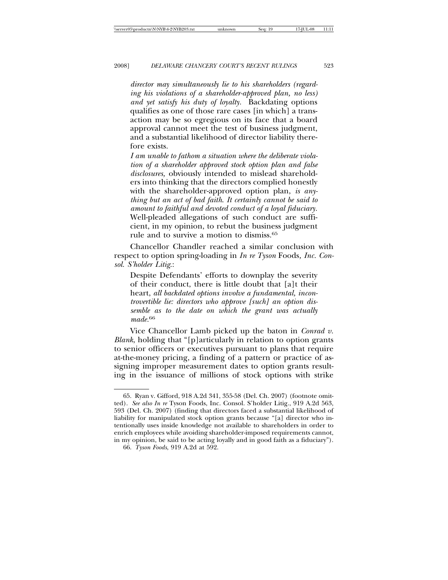*director may simultaneously lie to his shareholders (regarding his violations of a shareholder-approved plan, no less) and yet satisfy his duty of loyalty.* Backdating options qualifies as one of those rare cases [in which] a transaction may be so egregious on its face that a board approval cannot meet the test of business judgment, and a substantial likelihood of director liability therefore exists.

*I am unable to fathom a situation where the deliberate violation of a shareholder approved stock option plan and false disclosures,* obviously intended to mislead shareholders into thinking that the directors complied honestly with the shareholder-approved option plan, *is anything but an act of bad faith*. *It certainly cannot be said to amount to faithful and devoted conduct of a loyal fiduciary.* Well-pleaded allegations of such conduct are sufficient, in my opinion, to rebut the business judgment rule and to survive a motion to dismiss.65

Chancellor Chandler reached a similar conclusion with respect to option spring-loading in *In re Tyson* Foods*, Inc. Consol. S'holder Litig*.:

Despite Defendants' efforts to downplay the severity of their conduct, there is little doubt that [a]t their heart, *all backdated options involve a fundamental, incontrovertible lie: directors who approve [such] an option dissemble as to the date on which the grant was actually made.*<sup>66</sup>

Vice Chancellor Lamb picked up the baton in *Conrad v. Blank*, holding that "[p]articularly in relation to option grants to senior officers or executives pursuant to plans that require at-the-money pricing, a finding of a pattern or practice of assigning improper measurement dates to option grants resulting in the issuance of millions of stock options with strike

<sup>65.</sup> Ryan v. Gifford, 918 A.2d 341, 355-58 (Del. Ch. 2007) (footnote omitted). *See also In re* Tyson Foods, Inc. Consol. S'holder Litig., 919 A.2d 563, 593 (Del. Ch. 2007) (finding that directors faced a substantial likelihood of liability for manipulated stock option grants because "[a] director who intentionally uses inside knowledge not available to shareholders in order to enrich employees while avoiding shareholder-imposed requirements cannot, in my opinion, be said to be acting loyally and in good faith as a fiduciary").

<sup>66.</sup> *Tyson Foods*, 919 A.2d at 592.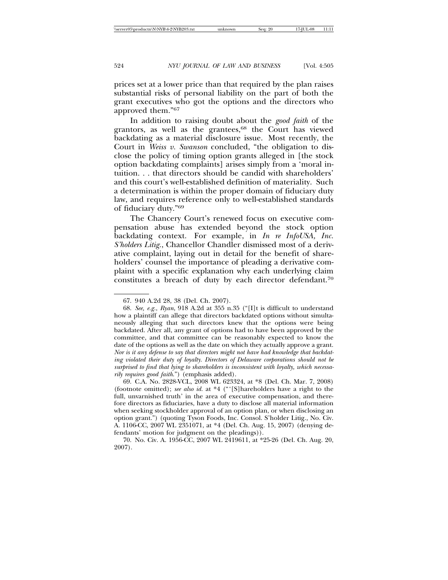prices set at a lower price than that required by the plan raises substantial risks of personal liability on the part of both the grant executives who got the options and the directors who approved them."67

In addition to raising doubt about the *good faith* of the grantors, as well as the grantees, $68$  the Court has viewed backdating as a material disclosure issue. Most recently, the Court in *Weiss v. Swanson* concluded, "the obligation to disclose the policy of timing option grants alleged in [the stock option backdating complaints] arises simply from a 'moral intuition. . . that directors should be candid with shareholders' and this court's well-established definition of materiality. Such a determination is within the proper domain of fiduciary duty law, and requires reference only to well-established standards of fiduciary duty."69

The Chancery Court's renewed focus on executive compensation abuse has extended beyond the stock option backdating context. For example, in *In re InfoUSA, Inc. S'holders Litig.*, Chancellor Chandler dismissed most of a derivative complaint, laying out in detail for the benefit of shareholders' counsel the importance of pleading a derivative complaint with a specific explanation why each underlying claim constitutes a breach of duty by each director defendant.70

70. No. Civ. A. 1956-CC, 2007 WL 2419611, at \*25-26 (Del. Ch. Aug. 20, 2007).

<sup>67. 940</sup> A.2d 28, 38 (Del. Ch. 2007).

<sup>68.</sup> *See, e.g.*, *Ryan*, 918 A.2d at 355 n.35 ("[I]t is difficult to understand how a plaintiff can allege that directors backdated options without simultaneously alleging that such directors knew that the options were being backdated. After all, any grant of options had to have been approved by the committee, and that committee can be reasonably expected to know the date of the options as well as the date on which they actually approve a grant. *Nor is it any defense to say that directors might not have had knowledge that backdating violated their duty of loyalty. Directors of Delaware corporations should not be surprised to find that lying to shareholders is inconsistent with loyalty, which necessarily requires good faith*.") (emphasis added).

<sup>69.</sup> C.A. No. 2828-VCL, 2008 WL 623324, at \*8 (Del. Ch. Mar. 7, 2008) (footnote omitted); *see also id.* at \*4 ("'[S]hareholders have a right to the full, unvarnished truth' in the area of executive compensation, and therefore directors as fiduciaries, have a duty to disclose all material information when seeking stockholder approval of an option plan, or when disclosing an option grant.") (quoting Tyson Foods, Inc. Consol. S'holder Litig.*,* No. Civ. A. 1106-CC, 2007 WL 2351071, at \*4 (Del. Ch. Aug. 15, 2007) (denying defendants' motion for judgment on the pleadings)).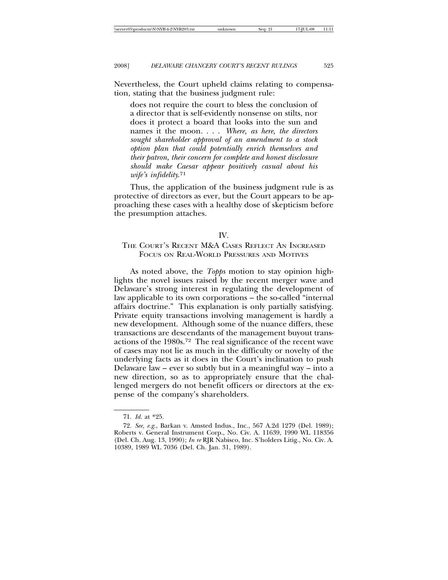Nevertheless, the Court upheld claims relating to compensation, stating that the business judgment rule:

does not require the court to bless the conclusion of a director that is self-evidently nonsense on stilts, nor does it protect a board that looks into the sun and names it the moon. . . . *Where, as here, the directors sought shareholder approval of an amendment to a stock option plan that could potentially enrich themselves and their patron, their concern for complete and honest disclosure should make Caesar appear positively casual about his wife's infidelity*. 71

Thus, the application of the business judgment rule is as protective of directors as ever, but the Court appears to be approaching these cases with a healthy dose of skepticism before the presumption attaches.

### IV.

# THE COURT'S RECENT M&A CASES REFLECT AN INCREASED FOCUS ON REAL-WORLD PRESSURES AND MOTIVES

As noted above, the *Topps* motion to stay opinion highlights the novel issues raised by the recent merger wave and Delaware's strong interest in regulating the development of law applicable to its own corporations – the so-called "internal affairs doctrine." This explanation is only partially satisfying. Private equity transactions involving management is hardly a new development. Although some of the nuance differs, these transactions are descendants of the management buyout transactions of the 1980s.72 The real significance of the recent wave of cases may not lie as much in the difficulty or novelty of the underlying facts as it does in the Court's inclination to push Delaware law – ever so subtly but in a meaningful way – into a new direction, so as to appropriately ensure that the challenged mergers do not benefit officers or directors at the expense of the company's shareholders.

<sup>71.</sup> *Id.* at \*25.

<sup>72.</sup> *See, e.g.*, Barkan v. Amsted Indus., Inc., 567 A.2d 1279 (Del. 1989); Roberts v. General Instrument Corp., No. Civ. A. 11639, 1990 WL 118356 (Del. Ch. Aug. 13, 1990); *In re* RJR Nabisco, Inc. S'holders Litig., No. Civ. A. 10389, 1989 WL 7036 (Del. Ch. Jan. 31, 1989).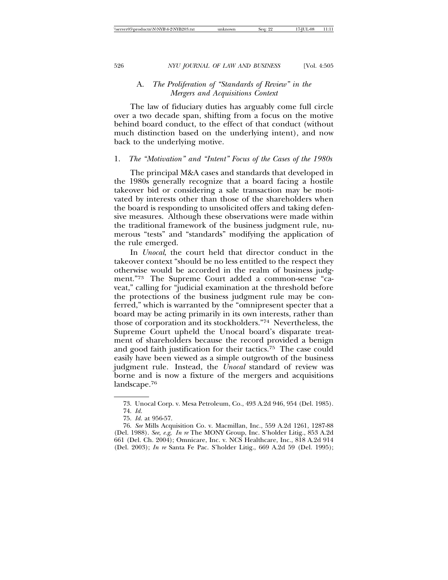# A. *The Proliferation of "Standards of Review" in the Mergers and Acquisitions Context*

The law of fiduciary duties has arguably come full circle over a two decade span, shifting from a focus on the motive behind board conduct, to the effect of that conduct (without much distinction based on the underlying intent), and now back to the underlying motive.

### 1. *The "Motivation" and "Intent" Focus of the Cases of the 1980s*

The principal M&A cases and standards that developed in the 1980s generally recognize that a board facing a hostile takeover bid or considering a sale transaction may be motivated by interests other than those of the shareholders when the board is responding to unsolicited offers and taking defensive measures. Although these observations were made within the traditional framework of the business judgment rule, numerous "tests" and "standards" modifying the application of the rule emerged.

In *Unocal*, the court held that director conduct in the takeover context "should be no less entitled to the respect they otherwise would be accorded in the realm of business judgment."73 The Supreme Court added a common-sense "caveat," calling for "judicial examination at the threshold before the protections of the business judgment rule may be conferred," which is warranted by the "omnipresent specter that a board may be acting primarily in its own interests, rather than those of corporation and its stockholders."74 Nevertheless, the Supreme Court upheld the Unocal board's disparate treatment of shareholders because the record provided a benign and good faith justification for their tactics.75 The case could easily have been viewed as a simple outgrowth of the business judgment rule. Instead, the *Unocal* standard of review was borne and is now a fixture of the mergers and acquisitions landscape.76

<sup>73.</sup> Unocal Corp. v. Mesa Petroleum, Co., 493 A.2d 946, 954 (Del. 1985). 74. *Id.*

<sup>75.</sup> *Id.* at 956-57.

<sup>76.</sup> *See* Mills Acquisition Co. v. Macmillan, Inc., 559 A.2d 1261, 1287-88 (Del. 1988). *See, e.g*, *In re* The MONY Group, Inc. S'holder Litig., 853 A.2d 661 (Del. Ch. 2004); Omnicare, Inc. v. NCS Healthcare, Inc., 818 A.2d 914 (Del. 2003); *In re* Santa Fe Pac. S'holder Litig., 669 A.2d 59 (Del. 1995);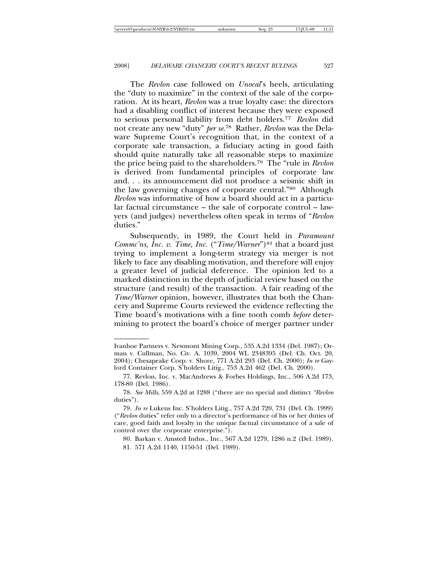The *Revlon* case followed on *Unocal*'s heels, articulating the "duty to maximize" in the context of the sale of the corporation. At its heart, *Revlon* was a true loyalty case: the directors had a disabling conflict of interest because they were exposed to serious personal liability from debt holders.77 *Revlon* did not create any new "duty" *per se*. 78 Rather, *Revlon* was the Delaware Supreme Court's recognition that, in the context of a corporate sale transaction, a fiduciary acting in good faith should quite naturally take all reasonable steps to maximize the price being paid to the shareholders.79 The "rule in *Revlon* is derived from fundamental principles of corporate law and. . . its announcement did not produce a seismic shift in the law governing changes of corporate central."80 Although *Revlon* was informative of how a board should act in a particular factual circumstance – the sale of corporate control – lawyers (and judges) nevertheless often speak in terms of "*Revlon* duties."

Subsequently, in 1989, the Court held in *Paramount Commc'ns, Inc. v. Time, Inc.* ("*Time/Warner*")<sup>81</sup> that a board just trying to implement a long-term strategy via merger is not likely to face any disabling motivation, and therefore will enjoy a greater level of judicial deference. The opinion led to a marked distinction in the depth of judicial review based on the structure (and result) of the transaction. A fair reading of the *Time/Warner* opinion, however, illustrates that both the Chancery and Supreme Courts reviewed the evidence reflecting the Time board's motivations with a fine tooth comb *before* determining to protect the board's choice of merger partner under

Ivanhoe Partners v. Newmont Mining Corp., 535 A.2d 1334 (Del. 1987); Orman v. Cullman, No. Civ. A. 1039, 2004 WL 2348395 (Del. Ch. Oct. 20, 2004); Chesapeake Corp. v. Shore, 771 A.2d 293 (Del. Ch. 2000); *In re* Gaylord Container Corp. S'holders Litig., 753 A.2d 462 (Del. Ch. 2000).

<sup>77.</sup> Revlon, Inc. v. MacAndrews & Forbes Holdings, Inc., 506 A.2d 173, 178-80 (Del. 1986).

<sup>78.</sup> *See Mills*, 559 A.2d at 1288 ("there are no special and distinct *"Revlon* duties").

<sup>79.</sup> *In re* Lukens Inc. S'holders Litig., 757 A.2d 720, 731 (Del. Ch. 1999) ("*Revlon* duties" refer only to a director's performance of his or her duties of care, good faith and loyalty in the unique factual circumstance of a sale of control over the corporate enterprise.").

<sup>80.</sup> Barkan v. Amsted Indus., Inc., 567 A.2d 1279, 1286 n.2 (Del. 1989). 81. 571 A.2d 1140, 1150-51 (Del. 1989).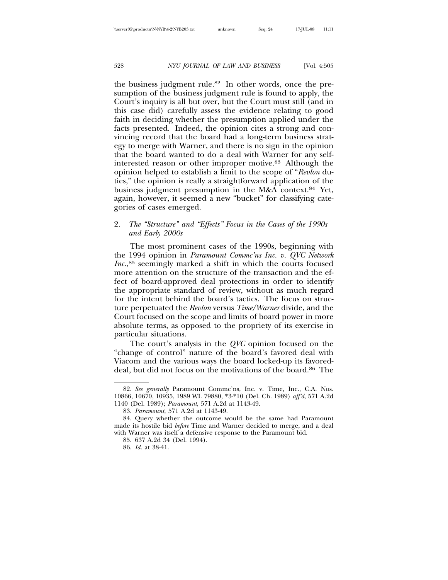the business judgment rule.<sup>82</sup> In other words, once the presumption of the business judgment rule is found to apply, the Court's inquiry is all but over, but the Court must still (and in this case did) carefully assess the evidence relating to good faith in deciding whether the presumption applied under the facts presented. Indeed, the opinion cites a strong and convincing record that the board had a long-term business strategy to merge with Warner, and there is no sign in the opinion that the board wanted to do a deal with Warner for any selfinterested reason or other improper motive.83 Although the opinion helped to establish a limit to the scope of "*Revlon* duties," the opinion is really a straightforward application of the business judgment presumption in the M&A context.<sup>84</sup> Yet, again, however, it seemed a new "bucket" for classifying categories of cases emerged.

# 2. *The "Structure" and "Effects" Focus in the Cases of the 1990s and Early 2000s*

The most prominent cases of the 1990s, beginning with the 1994 opinion in *Paramount Commc'ns Inc. v. QVC Network Inc.,*85 seemingly marked a shift in which the courts focused more attention on the structure of the transaction and the effect of board-approved deal protections in order to identify the appropriate standard of review, without as much regard for the intent behind the board's tactics. The focus on structure perpetuated the *Revlon* versus *Time/Warner* divide, and the Court focused on the scope and limits of board power in more absolute terms, as opposed to the propriety of its exercise in particular situations.

The court's analysis in the *QVC* opinion focused on the "change of control" nature of the board's favored deal with Viacom and the various ways the board locked-up its favoreddeal, but did not focus on the motivations of the board.<sup>86</sup> The

<sup>82.</sup> *See generally* Paramount Commc'ns, Inc. v. Time, Inc., C.A. Nos. 10866, 10670, 10935, 1989 WL 79880, \*3-\*10 (Del. Ch. 1989) *aff'd*, 571 A.2d 1140 (Del. 1989); *Paramount*, 571 A.2d at 1143-49.

<sup>83.</sup> *Paramount,* 571 A.2d at 1143-49.

<sup>84.</sup> Query whether the outcome would be the same had Paramount made its hostile bid *before* Time and Warner decided to merge, and a deal with Warner was itself a defensive response to the Paramount bid.

<sup>85. 637</sup> A.2d 34 (Del. 1994).

<sup>86.</sup> *Id.* at 38-41.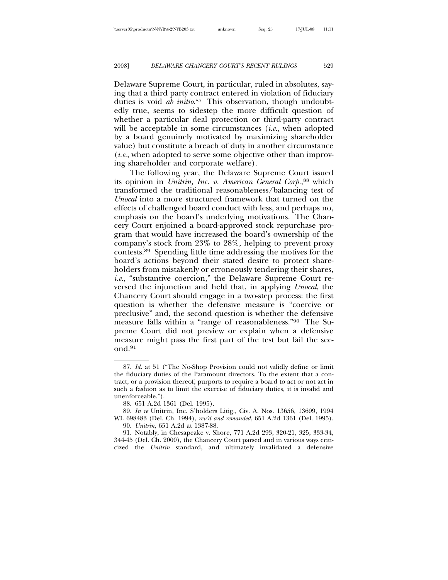Delaware Supreme Court, in particular, ruled in absolutes, saying that a third party contract entered in violation of fiduciary duties is void *ab initio*. 87 This observation, though undoubtedly true, seems to sidestep the more difficult question of whether a particular deal protection or third-party contract will be acceptable in some circumstances (*i.e.*, when adopted by a board genuinely motivated by maximizing shareholder value) but constitute a breach of duty in another circumstance (*i.e.*, when adopted to serve some objective other than improving shareholder and corporate welfare).

The following year, the Delaware Supreme Court issued its opinion in *Unitrin, Inc. v. American General Corp.*, 88 which transformed the traditional reasonableness/balancing test of *Unocal* into a more structured framework that turned on the effects of challenged board conduct with less, and perhaps no, emphasis on the board's underlying motivations. The Chancery Court enjoined a board-approved stock repurchase program that would have increased the board's ownership of the company's stock from 23% to 28%, helping to prevent proxy contests.89 Spending little time addressing the motives for the board's actions beyond their stated desire to protect shareholders from mistakenly or erroneously tendering their shares, *i.e.*, "substantive coercion," the Delaware Supreme Court reversed the injunction and held that, in applying *Unocal*, the Chancery Court should engage in a two-step process: the first question is whether the defensive measure is "coercive or preclusive" and, the second question is whether the defensive measure falls within a "range of reasonableness."90 The Supreme Court did not preview or explain when a defensive measure might pass the first part of the test but fail the second.91

<sup>87.</sup> *Id.* at 51 ("The No-Shop Provision could not validly define or limit the fiduciary duties of the Paramount directors. To the extent that a contract, or a provision thereof, purports to require a board to act or not act in such a fashion as to limit the exercise of fiduciary duties, it is invalid and unenforceable.").

<sup>88. 651</sup> A.2d 1361 (Del. 1995).

<sup>89.</sup> *In re* Unitrin, Inc. S'holders Litig., Civ. A. Nos. 13656, 13699, 1994 WL 698483 (Del. Ch. 1994), *rev'd and remanded*, 651 A.2d 1361 (Del. 1995).

<sup>90.</sup> *Unitrin*, 651 A.2d at 1387-88.

<sup>91.</sup> Notably, in Chesapeake v. Shore, 771 A.2d 293, 320-21, 325, 333-34, 344-45 (Del. Ch. 2000), the Chancery Court parsed and in various ways criticized the *Unitrin* standard, and ultimately invalidated a defensive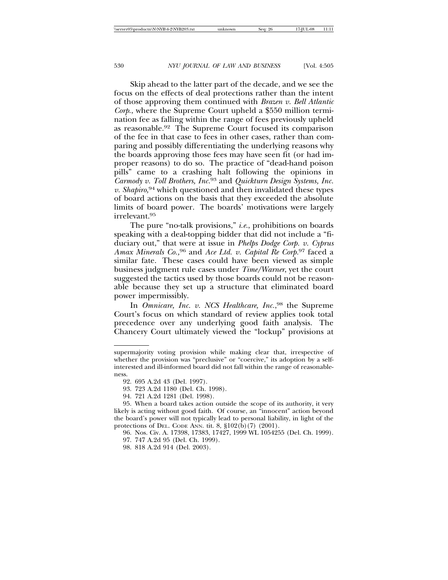Skip ahead to the latter part of the decade, and we see the focus on the effects of deal protections rather than the intent of those approving them continued with *Brazen v. Bell Atlantic Corp*., where the Supreme Court upheld a \$550 million termination fee as falling within the range of fees previously upheld as reasonable.92 The Supreme Court focused its comparison of the fee in that case to fees in other cases, rather than comparing and possibly differentiating the underlying reasons why the boards approving those fees may have seen fit (or had improper reasons) to do so. The practice of "dead-hand poison pills" came to a crashing halt following the opinions in *Carmody v. Toll Brothers, Inc.*93 and *Quickturn Design Systems, Inc. v. Shapiro,*94 which questioned and then invalidated these types of board actions on the basis that they exceeded the absolute limits of board power. The boards' motivations were largely irrelevant.95

The pure "no-talk provisions," *i.e.*, prohibitions on boards speaking with a deal-topping bidder that did not include a "fiduciary out," that were at issue in *Phelps Dodge Corp. v. Cyprus Amax Minerals Co.,*96 and *Ace Ltd. v. Capital Re Corp.*97 faced a similar fate. These cases could have been viewed as simple business judgment rule cases under *Time/Warner*, yet the court suggested the tactics used by those boards could not be reasonable because they set up a structure that eliminated board power impermissibly.

In *Omnicare, Inc. v. NCS Healthcare, Inc.*, <sup>98</sup> the Supreme Court's focus on which standard of review applies took total precedence over any underlying good faith analysis. The Chancery Court ultimately viewed the "lockup" provisions at

supermajority voting provision while making clear that, irrespective of whether the provision was "preclusive" or "coercive," its adoption by a selfinterested and ill-informed board did not fall within the range of reasonableness.

<sup>92. 695</sup> A.2d 43 (Del. 1997).

<sup>93. 723</sup> A.2d 1180 (Del. Ch. 1998).

<sup>94. 721</sup> A.2d 1281 (Del. 1998).

<sup>95.</sup> When a board takes action outside the scope of its authority, it very likely is acting without good faith. Of course, an "innocent" action beyond the board's power will not typically lead to personal liability, in light of the protections of DEL. CODE ANN. tit. 8, §102(b)(7) (2001).

<sup>96.</sup> Nos. Civ. A. 17398, 17383, 17427, 1999 WL 1054255 (Del. Ch. 1999).

<sup>97. 747</sup> A.2d 95 (Del. Ch. 1999).

<sup>98. 818</sup> A.2d 914 (Del. 2003).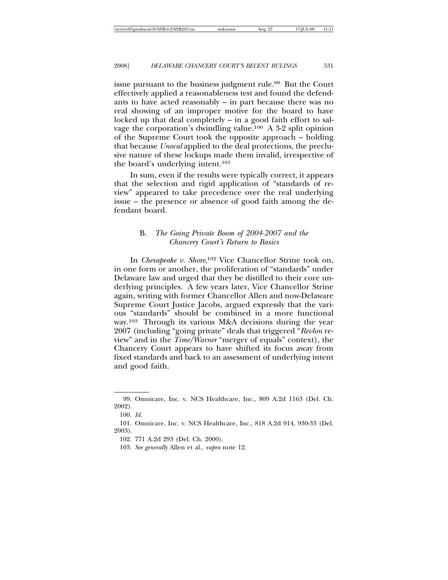issue pursuant to the business judgment rule.<sup>99</sup> But the Court effectively applied a reasonableness test and found the defendants to have acted reasonably – in part because there was no real showing of an improper motive for the board to have locked up that deal completely – in a good faith effort to salvage the corporation's dwindling value.100 A 3-2 split opinion of the Supreme Court took the opposite approach – holding that because *Unocal* applied to the deal protections, the preclusive nature of these lockups made them invalid, irrespective of the board's underlying intent.101

In sum, even if the results were typically correct, it appears that the selection and rigid application of "standards of review" appeared to take precedence over the real underlying issue – the presence or absence of good faith among the defendant board.

# B. *The Going Private Boom of 2004-2007 and the Chancery Court's Return to Basics*

In *Chesapeake v. Shore*, 102 Vice Chancellor Strine took on, in one form or another, the proliferation of "standards" under Delaware law and urged that they be distilled to their core underlying principles. A few years later, Vice Chancellor Strine again, writing with former Chancellor Allen and now-Delaware Supreme Court Justice Jacobs, argued expressly that the various "standards" should be combined in a more functional way.103 Through its various M&A decisions during the year 2007 (including "going private" deals that triggered "*Revlon* review" and in the *Time/Warner* "merger of equals" context), the Chancery Court appears to have shifted its focus away from fixed standards and back to an assessment of underlying intent and good faith.

<sup>99.</sup> Omnicare, Inc. v. NCS Healthcare, Inc., 809 A.2d 1163 (Del. Ch. 2002).

<sup>100.</sup> *Id.*

<sup>101.</sup> Omnicare, Inc. v. NCS Healthcare, Inc., 818 A.2d 914, 930-33 (Del. 2003).

<sup>102. 771</sup> A.2d 293 (Del. Ch. 2000).

<sup>103.</sup> *See generally* Allen et al., *supra* note 12.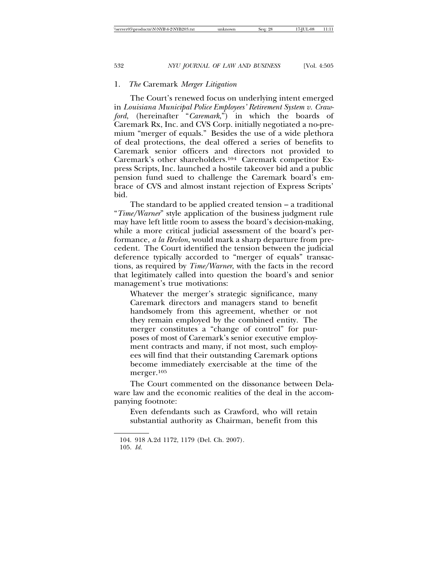### 1. *The* Caremark *Merger Litigation*

The Court's renewed focus on underlying intent emerged in *Louisiana Municipal Police Employees' Retirement System v. Crawford*, (hereinafter "*Caremark*,") in which the boards of Caremark Rx, Inc. and CVS Corp. initially negotiated a no-premium "merger of equals." Besides the use of a wide plethora of deal protections, the deal offered a series of benefits to Caremark senior officers and directors not provided to Caremark's other shareholders.104 Caremark competitor Express Scripts, Inc. launched a hostile takeover bid and a public pension fund sued to challenge the Caremark board's embrace of CVS and almost instant rejection of Express Scripts' bid.

The standard to be applied created tension – a traditional "*Time/Warner*" style application of the business judgment rule may have left little room to assess the board's decision-making, while a more critical judicial assessment of the board's performance, *a la Revlon*, would mark a sharp departure from precedent. The Court identified the tension between the judicial deference typically accorded to "merger of equals" transactions, as required by *Time/Warner*, with the facts in the record that legitimately called into question the board's and senior management's true motivations:

Whatever the merger's strategic significance, many Caremark directors and managers stand to benefit handsomely from this agreement, whether or not they remain employed by the combined entity. The merger constitutes a "change of control" for purposes of most of Caremark's senior executive employment contracts and many, if not most, such employees will find that their outstanding Caremark options become immediately exercisable at the time of the merger.105

The Court commented on the dissonance between Delaware law and the economic realities of the deal in the accompanying footnote:

Even defendants such as Crawford, who will retain substantial authority as Chairman, benefit from this

<sup>104. 918</sup> A.2d 1172, 1179 (Del. Ch. 2007). 105. *Id.*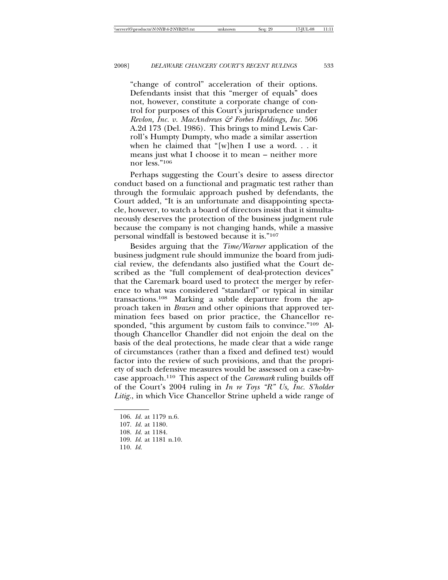"change of control" acceleration of their options. Defendants insist that this "merger of equals" does not, however, constitute a corporate change of control for purposes of this Court's jurisprudence under *Revlon, Inc. v. MacAndrews & Forbes Holdings, Inc.* 506 A.2d 173 (Del. 1986). This brings to mind Lewis Carroll's Humpty Dumpty, who made a similar assertion when he claimed that "[w]hen I use a word. . . it means just what I choose it to mean – neither more nor less."106

Perhaps suggesting the Court's desire to assess director conduct based on a functional and pragmatic test rather than through the formulaic approach pushed by defendants, the Court added, "It is an unfortunate and disappointing spectacle, however, to watch a board of directors insist that it simultaneously deserves the protection of the business judgment rule because the company is not changing hands, while a massive personal windfall is bestowed because it is."107

Besides arguing that the *Time/Warner* application of the business judgment rule should immunize the board from judicial review, the defendants also justified what the Court described as the "full complement of deal-protection devices" that the Caremark board used to protect the merger by reference to what was considered "standard" or typical in similar transactions.108 Marking a subtle departure from the approach taken in *Brazen* and other opinions that approved termination fees based on prior practice, the Chancellor responded, "this argument by custom fails to convince."109 Although Chancellor Chandler did not enjoin the deal on the basis of the deal protections, he made clear that a wide range of circumstances (rather than a fixed and defined test) would factor into the review of such provisions, and that the propriety of such defensive measures would be assessed on a case-bycase approach.110 This aspect of the *Caremark* ruling builds off of the Court's 2004 ruling in *In re Toys "R" Us, Inc. S'holder Litig.*, in which Vice Chancellor Strine upheld a wide range of

- 109. *Id.* at 1181 n.10.
- 110. *Id.*

<sup>106.</sup> *Id.* at 1179 n.6.

<sup>107.</sup> *Id.* at 1180.

<sup>108.</sup> *Id.* at 1184.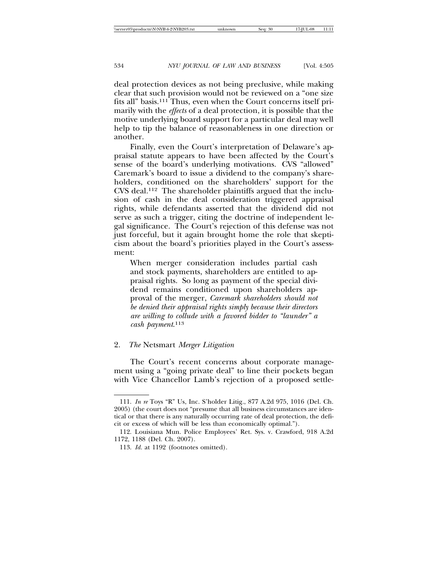deal protection devices as not being preclusive, while making clear that such provision would not be reviewed on a "one size fits all" basis.111 Thus, even when the Court concerns itself primarily with the *effects* of a deal protection, it is possible that the motive underlying board support for a particular deal may well help to tip the balance of reasonableness in one direction or another.

Finally, even the Court's interpretation of Delaware's appraisal statute appears to have been affected by the Court's sense of the board's underlying motivations. CVS "allowed" Caremark's board to issue a dividend to the company's shareholders, conditioned on the shareholders' support for the CVS deal.112 The shareholder plaintiffs argued that the inclusion of cash in the deal consideration triggered appraisal rights, while defendants asserted that the dividend did not serve as such a trigger, citing the doctrine of independent legal significance. The Court's rejection of this defense was not just forceful, but it again brought home the role that skepticism about the board's priorities played in the Court's assessment:

When merger consideration includes partial cash and stock payments, shareholders are entitled to appraisal rights. So long as payment of the special dividend remains conditioned upon shareholders approval of the merger, *Caremark shareholders should not be denied their appraisal rights simply because their directors are willing to collude with a favored bidder to "launder" a cash payment*. 113

### 2. *The* Netsmart *Merger Litigation*

The Court's recent concerns about corporate management using a "going private deal" to line their pockets began with Vice Chancellor Lamb's rejection of a proposed settle-

534 *NYU JOURNAL OF LAW AND BUSINESS* [Vol. 4:505]

<sup>111.</sup> *In re* Toys "R" Us, Inc. S'holder Litig., 877 A.2d 975, 1016 (Del. Ch. 2005) (the court does not "presume that all business circumstances are identical or that there is any naturally occurring rate of deal protection, the deficit or excess of which will be less than economically optimal.").

<sup>112.</sup> Louisiana Mun. Police Employees' Ret. Sys. v. Crawford, 918 A.2d 1172, 1188 (Del. Ch. 2007).

<sup>113.</sup> *Id.* at 1192 (footnotes omitted).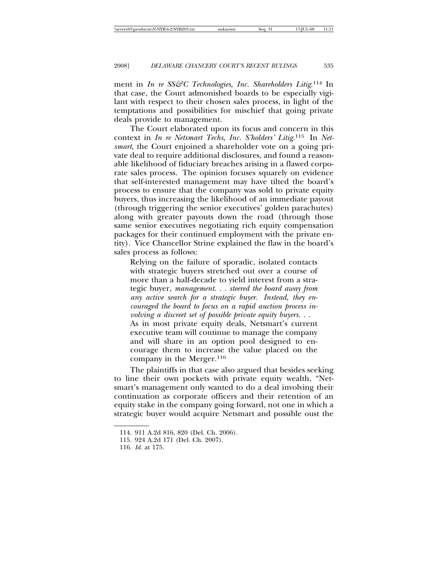ment in *In re SS&C Technologies, Inc. Shareholders Litig*.<sup>114</sup> In that case, the Court admonished boards to be especially vigilant with respect to their chosen sales process, in light of the temptations and possibilities for mischief that going private deals provide to management.

The Court elaborated upon its focus and concern in this context in *In re Netsmart Techs, Inc. S'holders' Litig.*115 In *Netsmart*, the Court enjoined a shareholder vote on a going private deal to require additional disclosures, and found a reasonable likelihood of fiduciary breaches arising in a flawed corporate sales process. The opinion focuses squarely on evidence that self-interested management may have tilted the board's process to ensure that the company was sold to private equity buyers, thus increasing the likelihood of an immediate payout (through triggering the senior executives' golden parachutes) along with greater payouts down the road (through those same senior executives negotiating rich equity compensation packages for their continued employment with the private entity). Vice Chancellor Strine explained the flaw in the board's sales process as follows:

Relying on the failure of sporadic, isolated contacts with strategic buyers stretched out over a course of more than a half-decade to yield interest from a strategic buyer, *management. . . steered the board away from any active search for a strategic buyer. Instead, they encouraged the board to focus on a rapid auction process involving a discreet set of possible private equity buyers. . .* As in most private equity deals, Netsmart's current executive team will continue to manage the company and will share in an option pool designed to encourage them to increase the value placed on the

The plaintiffs in that case also argued that besides seeking to line their own pockets with private equity wealth, "Netsmart's management only wanted to do a deal involving their continuation as corporate officers and their retention of an equity stake in the company going forward, not one in which a strategic buyer would acquire Netsmart and possible oust the

company in the Merger.116

<sup>114. 911</sup> A.2d 816, 820 (Del. Ch. 2006).

<sup>115. 924</sup> A.2d 171 (Del. Ch. 2007).

<sup>116.</sup> *Id.* at 175.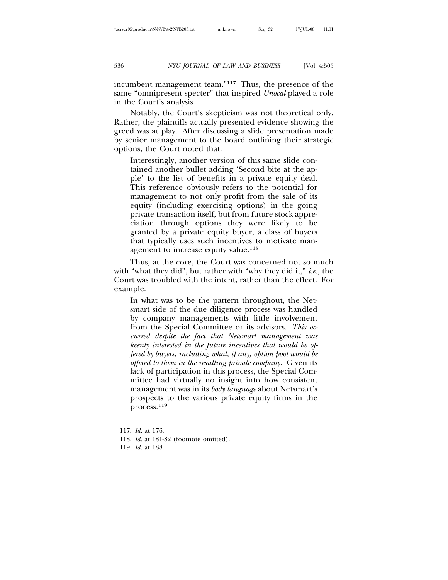incumbent management team."117 Thus, the presence of the same "omnipresent specter" that inspired *Unocal* played a role

Notably, the Court's skepticism was not theoretical only. Rather, the plaintiffs actually presented evidence showing the greed was at play. After discussing a slide presentation made by senior management to the board outlining their strategic options, the Court noted that:

Interestingly, another version of this same slide contained another bullet adding 'Second bite at the apple' to the list of benefits in a private equity deal. This reference obviously refers to the potential for management to not only profit from the sale of its equity (including exercising options) in the going private transaction itself, but from future stock appreciation through options they were likely to be granted by a private equity buyer, a class of buyers that typically uses such incentives to motivate management to increase equity value.<sup>118</sup>

Thus, at the core, the Court was concerned not so much with "what they did", but rather with "why they did it," *i.e.*, the Court was troubled with the intent, rather than the effect. For example:

In what was to be the pattern throughout, the Netsmart side of the due diligence process was handled by company managements with little involvement from the Special Committee or its advisors. *This occurred despite the fact that Netsmart management was keenly interested in the future incentives that would be offered by buyers, including what, if any, option pool would be offered to them in the resulting private company.* Given its lack of participation in this process, the Special Committee had virtually no insight into how consistent management was in its *body language* about Netsmart's prospects to the various private equity firms in the process.119

in the Court's analysis.

<sup>117.</sup> *Id.* at 176.

<sup>118.</sup> *Id.* at 181-82 (footnote omitted).

<sup>119.</sup> *Id.* at 188.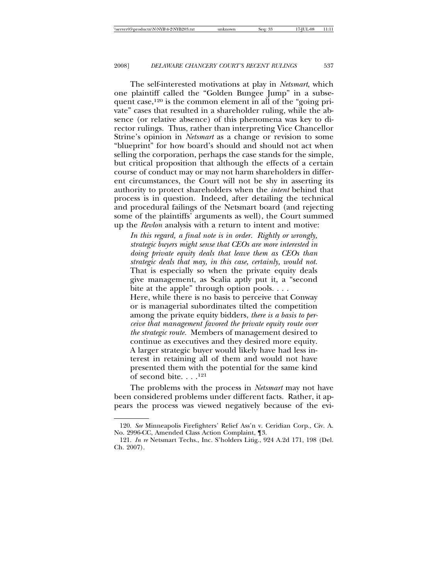The self-interested motivations at play in *Netsmart*, which one plaintiff called the "Golden Bungee Jump" in a subsequent case,<sup>120</sup> is the common element in all of the "going private" cases that resulted in a shareholder ruling, while the absence (or relative absence) of this phenomena was key to director rulings. Thus, rather than interpreting Vice Chancellor Strine's opinion in *Netsmart* as a change or revision to some "blueprint" for how board's should and should not act when selling the corporation, perhaps the case stands for the simple, but critical proposition that although the effects of a certain course of conduct may or may not harm shareholders in different circumstances, the Court will not be shy in asserting its authority to protect shareholders when the *intent* behind that process is in question. Indeed, after detailing the technical and procedural failings of the Netsmart board (and rejecting some of the plaintiffs' arguments as well), the Court summed up the *Revlon* analysis with a return to intent and motive:

*In this regard, a final note is in order. Rightly or wrongly, strategic buyers might sense that CEOs are more interested in doing private equity deals that leave them as CEOs than strategic deals that may, in this case, certainly, would not.* That is especially so when the private equity deals give management, as Scalia aptly put it, a "second bite at the apple" through option pools. . . . Here, while there is no basis to perceive that Conway or is managerial subordinates tilted the competition among the private equity bidders, *there is a basis to perceive that management favored the private equity route over the strategic route.* Members of management desired to continue as executives and they desired more equity. A larger strategic buyer would likely have had less interest in retaining all of them and would not have presented them with the potential for the same kind of second bite.  $\ldots$ <sup>121</sup>

The problems with the process in *Netsmart* may not have been considered problems under different facts. Rather, it appears the process was viewed negatively because of the evi-

<sup>120.</sup> *See* Minneapolis Firefighters' Relief Ass'n v. Ceridian Corp., Civ. A. No. 2996-CC, Amended Class Action Complaint, ¶3.

<sup>121.</sup> *In re* Netsmart Techs., Inc. S'holders Litig., 924 A.2d 171, 198 (Del. Ch. 2007).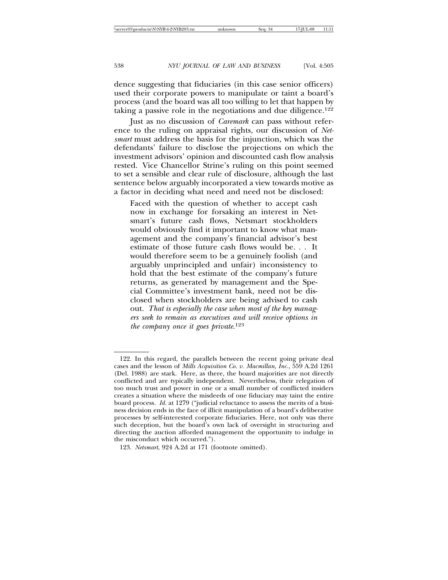dence suggesting that fiduciaries (in this case senior officers) used their corporate powers to manipulate or taint a board's process (and the board was all too willing to let that happen by taking a passive role in the negotiations and due diligence.122

Just as no discussion of *Caremark* can pass without reference to the ruling on appraisal rights, our discussion of *Netsmart* must address the basis for the injunction, which was the defendants' failure to disclose the projections on which the investment advisors' opinion and discounted cash flow analysis rested. Vice Chancellor Strine's ruling on this point seemed to set a sensible and clear rule of disclosure, although the last sentence below arguably incorporated a view towards motive as a factor in deciding what need and need not be disclosed:

Faced with the question of whether to accept cash now in exchange for forsaking an interest in Netsmart's future cash flows, Netsmart stockholders would obviously find it important to know what management and the company's financial advisor's best estimate of those future cash flows would be. . . It would therefore seem to be a genuinely foolish (and arguably unprincipled and unfair) inconsistency to hold that the best estimate of the company's future returns, as generated by management and the Special Committee's investment bank, need not be disclosed when stockholders are being advised to cash out. *That is especially the case when most of the key managers seek to remain as executives and will receive options in the company once it goes private*. 123

<sup>122.</sup> In this regard, the parallels between the recent going private deal cases and the lesson of *Mills Acquisition Co. v. Macmillan, Inc.*, 559 A.2d 1261 (Del. 1988) are stark. Here, as there, the board majorities are not directly conflicted and are typically independent. Nevertheless, their relegation of too much trust and power in one or a small number of conflicted insiders creates a situation where the misdeeds of one fiduciary may taint the entire board process. *Id.* at 1279 ("judicial reluctance to assess the merits of a business decision ends in the face of illicit manipulation of a board's deliberative processes by self-interested corporate fiduciaries. Here, not only was there such deception, but the board's own lack of oversight in structuring and directing the auction afforded management the opportunity to indulge in the misconduct which occurred.").

<sup>123.</sup> *Netsmart*, 924 A.2d at 171 (footnote omitted).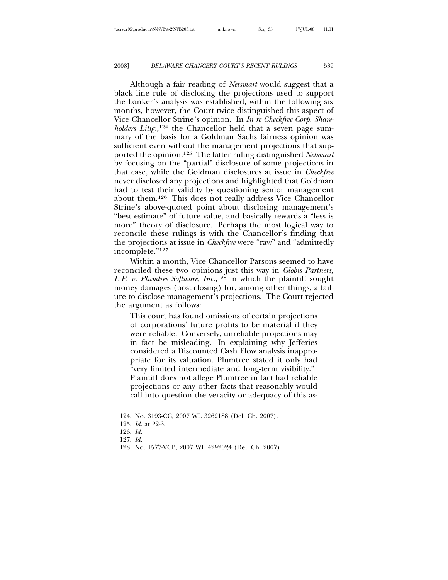Although a fair reading of *Netsmart* would suggest that a black line rule of disclosing the projections used to support the banker's analysis was established, within the following six months, however, the Court twice distinguished this aspect of Vice Chancellor Strine's opinion. In *In re Checkfree Corp. Share*holders Litig.,<sup>124</sup> the Chancellor held that a seven page summary of the basis for a Goldman Sachs fairness opinion was sufficient even without the management projections that supported the opinion.125 The latter ruling distinguished *Netsmart* by focusing on the "partial" disclosure of some projections in that case, while the Goldman disclosures at issue in *Checkfree* never disclosed any projections and highlighted that Goldman had to test their validity by questioning senior management about them.126 This does not really address Vice Chancellor Strine's above-quoted point about disclosing management's "best estimate" of future value, and basically rewards a "less is more" theory of disclosure. Perhaps the most logical way to reconcile these rulings is with the Chancellor's finding that the projections at issue in *Checkfree* were "raw" and "admittedly incomplete."127

Within a month, Vice Chancellor Parsons seemed to have reconciled these two opinions just this way in *Globis Partners, L.P. v. Plumtree Software, Inc.*, 128 in which the plaintiff sought money damages (post-closing) for, among other things, a failure to disclose management's projections. The Court rejected the argument as follows:

This court has found omissions of certain projections of corporations' future profits to be material if they were reliable. Conversely, unreliable projections may in fact be misleading. In explaining why Jefferies considered a Discounted Cash Flow analysis inappropriate for its valuation, Plumtree stated it only had "very limited intermediate and long-term visibility." Plaintiff does not allege Plumtree in fact had reliable projections or any other facts that reasonably would call into question the veracity or adequacy of this as-

<sup>124.</sup> No. 3193-CC, 2007 WL 3262188 (Del. Ch. 2007).

<sup>125.</sup> *Id.* at \*2-3.

<sup>126.</sup> *Id.*

<sup>127.</sup> *Id.*

<sup>128.</sup> No. 1577-VCP, 2007 WL 4292024 (Del. Ch. 2007)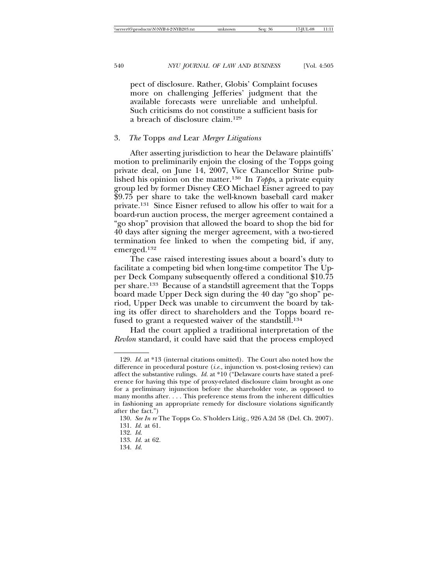pect of disclosure. Rather, Globis' Complaint focuses more on challenging Jefferies' judgment that the available forecasts were unreliable and unhelpful. Such criticisms do not constitute a sufficient basis for a breach of disclosure claim.129

### 3. *The* Topps *and* Lear *Merger Litigations*

After asserting jurisdiction to hear the Delaware plaintiffs' motion to preliminarily enjoin the closing of the Topps going private deal, on June 14, 2007, Vice Chancellor Strine published his opinion on the matter.130 In *Topps*, a private equity group led by former Disney CEO Michael Eisner agreed to pay \$9.75 per share to take the well-known baseball card maker private.131 Since Eisner refused to allow his offer to wait for a board-run auction process, the merger agreement contained a "go shop" provision that allowed the board to shop the bid for 40 days after signing the merger agreement, with a two-tiered termination fee linked to when the competing bid, if any, emerged.132

The case raised interesting issues about a board's duty to facilitate a competing bid when long-time competitor The Upper Deck Company subsequently offered a conditional \$10.75 per share.133 Because of a standstill agreement that the Topps board made Upper Deck sign during the 40 day "go shop" period, Upper Deck was unable to circumvent the board by taking its offer direct to shareholders and the Topps board refused to grant a requested waiver of the standstill.<sup>134</sup>

Had the court applied a traditional interpretation of the *Revlon* standard, it could have said that the process employed

<sup>129.</sup> *Id.* at \*13 (internal citations omitted). The Court also noted how the difference in procedural posture (*i.e.*, injunction vs. post-closing review) can affect the substantive rulings. *Id.* at \*10 ("Delaware courts have stated a preference for having this type of proxy-related disclosure claim brought as one for a preliminary injunction before the shareholder vote, as opposed to many months after. . . . This preference stems from the inherent difficulties in fashioning an appropriate remedy for disclosure violations significantly after the fact.")

<sup>130.</sup> *See In re* The Topps Co. S'holders Litig., 926 A.2d 58 (Del. Ch. 2007).

<sup>131.</sup> *Id.* at 61.

<sup>132.</sup> *Id*.

<sup>133.</sup> *Id.* at 62.

<sup>134.</sup> *Id.*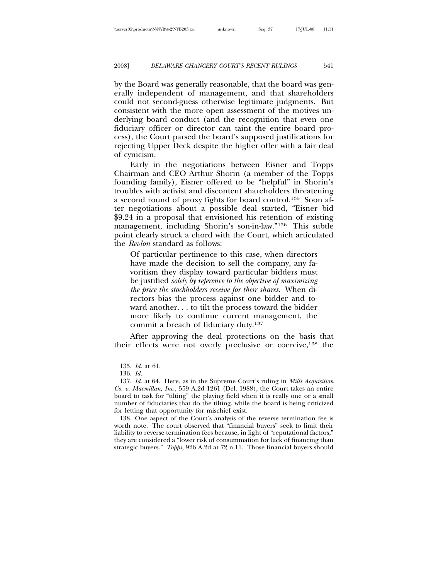by the Board was generally reasonable, that the board was generally independent of management, and that shareholders could not second-guess otherwise legitimate judgments. But consistent with the more open assessment of the motives underlying board conduct (and the recognition that even one fiduciary officer or director can taint the entire board process), the Court parsed the board's supposed justifications for rejecting Upper Deck despite the higher offer with a fair deal of cynicism.

Early in the negotiations between Eisner and Topps Chairman and CEO Arthur Shorin (a member of the Topps founding family), Eisner offered to be "helpful" in Shorin's troubles with activist and discontent shareholders threatening a second round of proxy fights for board control.135 Soon after negotiations about a possible deal started, "Eisner bid \$9.24 in a proposal that envisioned his retention of existing management, including Shorin's son-in-law."136 This subtle point clearly struck a chord with the Court, which articulated the *Revlon* standard as follows:

Of particular pertinence to this case, when directors have made the decision to sell the company, any favoritism they display toward particular bidders must be justified *solely by reference to the objective of maximizing the price the stockholders receive for their shares*. When directors bias the process against one bidder and toward another. . . to tilt the process toward the bidder more likely to continue current management, the commit a breach of fiduciary duty.137

After approving the deal protections on the basis that their effects were not overly preclusive or coercive,138 the

138. One aspect of the Court's analysis of the reverse termination fee is worth note. The court observed that "financial buyers" seek to limit their liability to reverse termination fees because, in light of "reputational factors," they are considered a "lower risk of consummation for lack of financing than strategic buyers." *Topps*, 926 A.2d at 72 n.11. Those financial buyers should

<sup>135.</sup> *Id.* at 61.

<sup>136.</sup> *Id.*

<sup>137.</sup> *Id.* at 64. Here, as in the Supreme Court's ruling in *Mills Acquisition Co. v. Macmillan, Inc.*, 559 A.2d 1261 (Del. 1988), the Court takes an entire board to task for "tilting" the playing field when it is really one or a small number of fiduciaries that do the tilting, while the board is being criticized for letting that opportunity for mischief exist.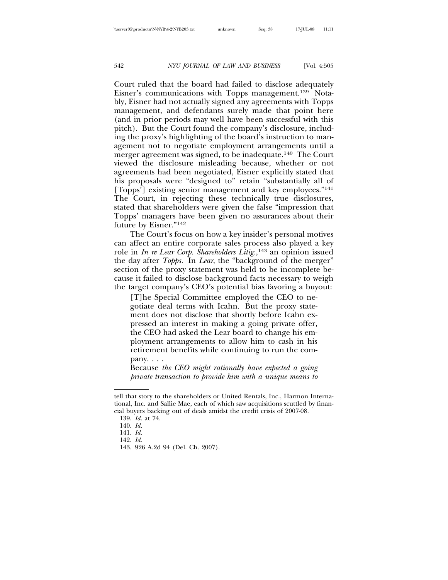Court ruled that the board had failed to disclose adequately Eisner's communications with Topps management.139 Notably, Eisner had not actually signed any agreements with Topps management, and defendants surely made that point here (and in prior periods may well have been successful with this pitch). But the Court found the company's disclosure, including the proxy's highlighting of the board's instruction to management not to negotiate employment arrangements until a merger agreement was signed, to be inadequate.140 The Court viewed the disclosure misleading because, whether or not agreements had been negotiated, Eisner explicitly stated that his proposals were "designed to" retain "substantially all of [Topps'] existing senior management and key employees."141 The Court, in rejecting these technically true disclosures, stated that shareholders were given the false "impression that Topps' managers have been given no assurances about their future by Eisner."142

The Court's focus on how a key insider's personal motives can affect an entire corporate sales process also played a key role in *In re Lear Corp. Shareholders Litig.*, 143 an opinion issued the day after *Topps.* In *Lear*, the "background of the merger" section of the proxy statement was held to be incomplete because it failed to disclose background facts necessary to weigh the target company's CEO's potential bias favoring a buyout:

[T]he Special Committee employed the CEO to negotiate deal terms with Icahn. But the proxy statement does not disclose that shortly before Icahn expressed an interest in making a going private offer, the CEO had asked the Lear board to change his employment arrangements to allow him to cash in his retirement benefits while continuing to run the company. . . .

Because *the CEO might rationally have expected a going private transaction to provide him with a unique means to*

tell that story to the shareholders or United Rentals, Inc., Harmon International, Inc. and Sallie Mae, each of which saw acquisitions scuttled by financial buyers backing out of deals amidst the credit crisis of 2007-08.

<sup>139.</sup> *Id.* at 74.

<sup>140.</sup> *Id.*

<sup>141.</sup> *Id.*

<sup>142.</sup> *Id.*

<sup>143. 926</sup> A.2d 94 (Del. Ch. 2007).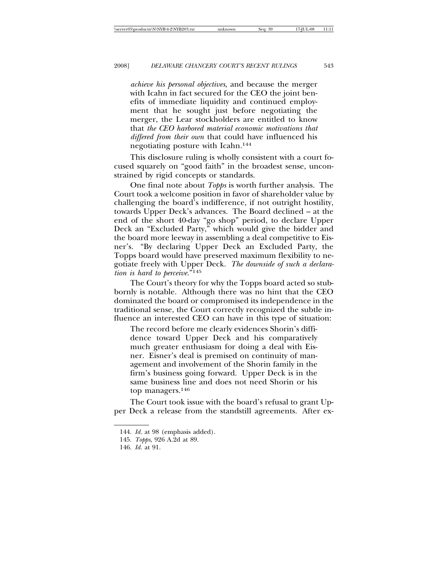*achieve his personal objectives*, and because the merger with Icahn in fact secured for the CEO the joint benefits of immediate liquidity and continued employment that he sought just before negotiating the merger, the Lear stockholders are entitled to know that *the CEO harbored material economic motivations that differed from their own* that could have influenced his negotiating posture with Icahn.144

This disclosure ruling is wholly consistent with a court focused squarely on "good faith" in the broadest sense, unconstrained by rigid concepts or standards.

One final note about *Topps* is worth further analysis. The Court took a welcome position in favor of shareholder value by challenging the board's indifference, if not outright hostility, towards Upper Deck's advances. The Board declined – at the end of the short 40-day "go shop" period, to declare Upper Deck an "Excluded Party," which would give the bidder and the board more leeway in assembling a deal competitive to Eisner's. "By declaring Upper Deck an Excluded Party, the Topps board would have preserved maximum flexibility to negotiate freely with Upper Deck. *The downside of such a declaration is hard to perceive.*"145

The Court's theory for why the Topps board acted so stubbornly is notable. Although there was no hint that the CEO dominated the board or compromised its independence in the traditional sense, the Court correctly recognized the subtle influence an interested CEO can have in this type of situation:

The record before me clearly evidences Shorin's diffidence toward Upper Deck and his comparatively much greater enthusiasm for doing a deal with Eisner. Eisner's deal is premised on continuity of management and involvement of the Shorin family in the firm's business going forward. Upper Deck is in the same business line and does not need Shorin or his top managers.146

The Court took issue with the board's refusal to grant Upper Deck a release from the standstill agreements. After ex-

<sup>144.</sup> *Id.* at 98 (emphasis added).

<sup>145.</sup> *Topps*, 926 A.2d at 89.

<sup>146.</sup> *Id.* at 91.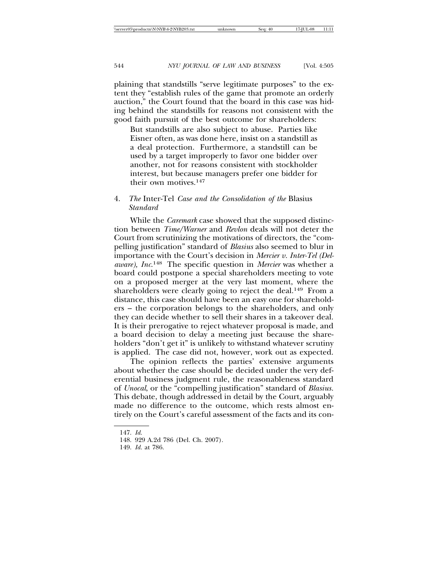plaining that standstills "serve legitimate purposes" to the extent they "establish rules of the game that promote an orderly auction," the Court found that the board in this case was hiding behind the standstills for reasons not consistent with the good faith pursuit of the best outcome for shareholders:

But standstills are also subject to abuse. Parties like Eisner often, as was done here, insist on a standstill as a deal protection. Furthermore, a standstill can be used by a target improperly to favor one bidder over another, not for reasons consistent with stockholder interest, but because managers prefer one bidder for their own motives.147

# 4. *The* Inter-Tel *Case and the Consolidation of the* Blasius *Standard*

While the *Caremark* case showed that the supposed distinction between *Time/Warner* and *Revlon* deals will not deter the Court from scrutinizing the motivations of directors, the "compelling justification" standard of *Blasius* also seemed to blur in importance with the Court's decision in *Mercier v. Inter-Tel (Delaware), Inc*. 148 The specific question in *Mercier* was whether a board could postpone a special shareholders meeting to vote on a proposed merger at the very last moment, where the shareholders were clearly going to reject the deal.<sup>149</sup> From a distance, this case should have been an easy one for shareholders – the corporation belongs to the shareholders, and only they can decide whether to sell their shares in a takeover deal. It is their prerogative to reject whatever proposal is made, and a board decision to delay a meeting just because the shareholders "don't get it" is unlikely to withstand whatever scrutiny is applied. The case did not, however, work out as expected.

The opinion reflects the parties' extensive arguments about whether the case should be decided under the very deferential business judgment rule, the reasonableness standard of *Unocal*, or the "compelling justification" standard of *Blasius.* This debate, though addressed in detail by the Court, arguably made no difference to the outcome, which rests almost entirely on the Court's careful assessment of the facts and its con-

<sup>147.</sup> *Id*.

<sup>148. 929</sup> A.2d 786 (Del. Ch. 2007).

<sup>149.</sup> *Id.* at 786.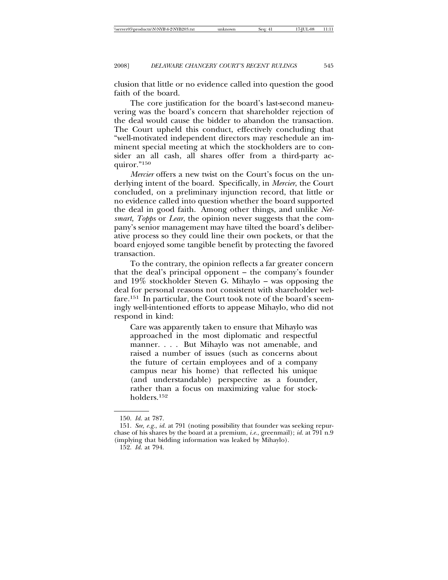clusion that little or no evidence called into question the good faith of the board.

The core justification for the board's last-second maneuvering was the board's concern that shareholder rejection of the deal would cause the bidder to abandon the transaction. The Court upheld this conduct, effectively concluding that "well-motivated independent directors may reschedule an imminent special meeting at which the stockholders are to consider an all cash, all shares offer from a third-party acquiror."150

*Mercier* offers a new twist on the Court's focus on the underlying intent of the board. Specifically, in *Mercier*, the Court concluded, on a preliminary injunction record, that little or no evidence called into question whether the board supported the deal in good faith. Among other things, and unlike *Netsmart, Topps* or *Lear*, the opinion never suggests that the company's senior management may have tilted the board's deliberative process so they could line their own pockets, or that the board enjoyed some tangible benefit by protecting the favored transaction.

To the contrary, the opinion reflects a far greater concern that the deal's principal opponent – the company's founder and 19% stockholder Steven G. Mihaylo – was opposing the deal for personal reasons not consistent with shareholder welfare.151 In particular, the Court took note of the board's seemingly well-intentioned efforts to appease Mihaylo, who did not respond in kind:

Care was apparently taken to ensure that Mihaylo was approached in the most diplomatic and respectful manner. . . . But Mihaylo was not amenable, and raised a number of issues (such as concerns about the future of certain employees and of a company campus near his home) that reflected his unique (and understandable) perspective as a founder, rather than a focus on maximizing value for stockholders.152

<sup>150.</sup> *Id.* at 787.

<sup>151.</sup> *See, e.g.*, *id.* at 791 (noting possibility that founder was seeking repurchase of his shares by the board at a premium, *i.e.*, greenmail); *id.* at 791 n.9 (implying that bidding information was leaked by Mihaylo).

<sup>152.</sup> *Id.* at 794.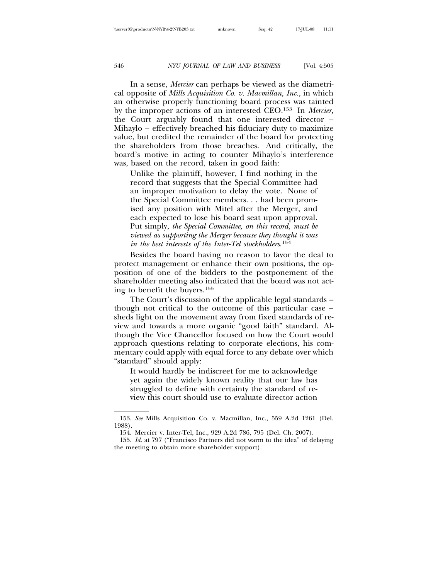In a sense, *Mercier* can perhaps be viewed as the diametrical opposite of *Mills Acquisition Co. v. Macmillan, Inc.*, in which an otherwise properly functioning board process was tainted by the improper actions of an interested CEO.153 In *Mercier,* the Court arguably found that one interested director – Mihaylo – effectively breached his fiduciary duty to maximize value, but credited the remainder of the board for protecting the shareholders from those breaches. And critically, the board's motive in acting to counter Mihaylo's interference was, based on the record, taken in good faith:

Unlike the plaintiff, however, I find nothing in the record that suggests that the Special Committee had an improper motivation to delay the vote. None of the Special Committee members. . . had been promised any position with Mitel after the Merger, and each expected to lose his board seat upon approval. Put simply, *the Special Committee, on this record, must be viewed as supporting the Merger because they thought it was in the best interests of the Inter-Tel stockholders*. 154

Besides the board having no reason to favor the deal to protect management or enhance their own positions, the opposition of one of the bidders to the postponement of the shareholder meeting also indicated that the board was not acting to benefit the buyers.155

The Court's discussion of the applicable legal standards – though not critical to the outcome of this particular case – sheds light on the movement away from fixed standards of review and towards a more organic "good faith" standard. Although the Vice Chancellor focused on how the Court would approach questions relating to corporate elections, his commentary could apply with equal force to any debate over which "standard" should apply:

It would hardly be indiscreet for me to acknowledge yet again the widely known reality that our law has struggled to define with certainty the standard of review this court should use to evaluate director action

<sup>153.</sup> *See* Mills Acquisition Co. v. Macmillan, Inc., 559 A.2d 1261 (Del. 1988).

<sup>154.</sup> Mercier v. Inter-Tel, Inc., 929 A.2d 786, 795 (Del. Ch. 2007).

<sup>155.</sup> *Id.* at 797 ("Francisco Partners did not warm to the idea" of delaying the meeting to obtain more shareholder support).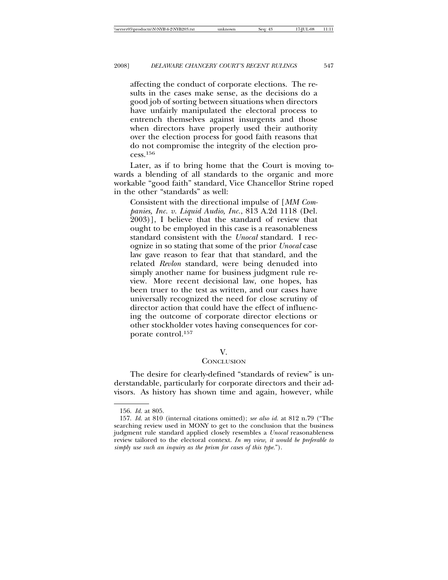affecting the conduct of corporate elections. The results in the cases make sense, as the decisions do a good job of sorting between situations when directors have unfairly manipulated the electoral process to entrench themselves against insurgents and those when directors have properly used their authority over the election process for good faith reasons that do not compromise the integrity of the election process.156

Later, as if to bring home that the Court is moving towards a blending of all standards to the organic and more workable "good faith" standard, Vice Chancellor Strine roped in the other "standards" as well:

Consistent with the directional impulse of [*MM Companies, Inc. v. Liquid Audio, Inc.*, 813 A.2d 1118 (Del. 2003)], I believe that the standard of review that ought to be employed in this case is a reasonableness standard consistent with the *Unocal* standard. I recognize in so stating that some of the prior *Unocal* case law gave reason to fear that that standard, and the related *Revlon* standard, were being denuded into simply another name for business judgment rule review. More recent decisional law, one hopes, has been truer to the test as written, and our cases have universally recognized the need for close scrutiny of director action that could have the effect of influencing the outcome of corporate director elections or other stockholder votes having consequences for corporate control.157

### V.

### **CONCLUSION**

The desire for clearly-defined "standards of review" is understandable, particularly for corporate directors and their advisors. As history has shown time and again, however, while

<sup>156.</sup> *Id.* at 805.

<sup>157.</sup> *Id.* at 810 (internal citations omitted); *see also id.* at 812 n.79 ("The searching review used in MONY to get to the conclusion that the business judgment rule standard applied closely resembles a *Unocal* reasonableness review tailored to the electoral context. *In my view, it would be preferable to simply use such an inquiry as the prism for cases of this type.*").